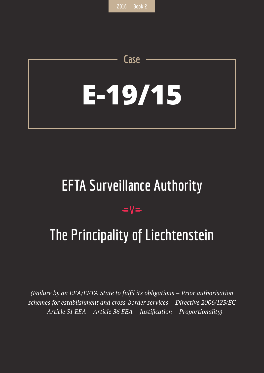# **E-19/15**

**Case**

## **EFTA Surveillance Authority**

### $=$ **V** $=$

# **The Principality of Liechtenstein**

*(Failure by an EEA/EFTA State to fulfil its obligations – Prior authorisation schemes for establishment and cross-border services – Directive 2006/123/EC – Article 31 EEA – Article 36 EEA – Justification – Proportionality)*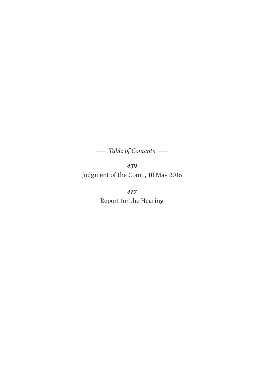*Table of Contents* 

*439* Judgment of the Court, 10 May 2016

> *477* Report for the Hearing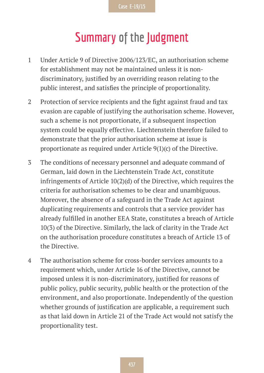## **Summary of the Judgment**

- 1 Under Article 9 of Directive 2006/123/EC, an authorisation scheme for establishment may not be maintained unless it is nondiscriminatory, justified by an overriding reason relating to the public interest, and satisfies the principle of proportionality.
- 2 Protection of service recipients and the fight against fraud and tax evasion are capable of justifying the authorisation scheme. However, such a scheme is not proportionate, if a subsequent inspection system could be equally effective. Liechtenstein therefore failed to demonstrate that the prior authorisation scheme at issue is proportionate as required under Article 9(1)(c) of the Directive.
- 3 The conditions of necessary personnel and adequate command of German, laid down in the Liechtenstein Trade Act, constitute infringements of Article 10(2)(d) of the Directive, which requires the criteria for authorisation schemes to be clear and unambiguous. Moreover, the absence of a safeguard in the Trade Act against duplicating requirements and controls that a service provider has already fulfilled in another EEA State, constitutes a breach of Article 10(3) of the Directive. Similarly, the lack of clarity in the Trade Act on the authorisation procedure constitutes a breach of Article 13 of the Directive.
- 4 The authorisation scheme for cross-border services amounts to a requirement which, under Article 16 of the Directive, cannot be imposed unless it is non-discriminatory, justified for reasons of public policy, public security, public health or the protection of the environment, and also proportionate. Independently of the question whether grounds of justification are applicable, a requirement such as that laid down in Article 21 of the Trade Act would not satisfy the proportionality test.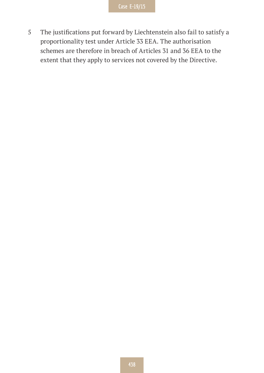5 The justifications put forward by Liechtenstein also fail to satisfy a proportionality test under Article 33 EEA. The authorisation schemes are therefore in breach of Articles 31 and 36 EEA to the extent that they apply to services not covered by the Directive.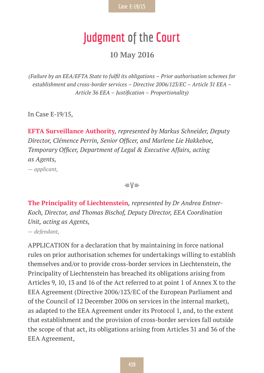## **Judgment of the Court**

**10 May 2016**

*(Failure by an EEA/EFTA State to fulfil its obligations – Prior authorisation schemes for establishment and cross-border services – Directive 2006/123/EC – Article 31 EEA – Article 36 EEA – Justification – Proportionality)*

In Case E-19/15,

**EFTA Surveillance Authority***, represented by Markus Schneider, Deputy Director, Clémence Perrin, Senior Officer, and Marlene Lie Hakkeboe, Temporary Officer, Department of Legal & Executive Affairs, acting as Agents, — applicant,*

 $=$  $V =$ 

**The Principality of Liechtenstein***, represented by Dr Andrea Entner-Koch, Director, and Thomas Bischof, Deputy Director, EEA Coordination Unit, acting as Agents,*

*— defendant,*

APPLICATION for a declaration that by maintaining in force national rules on prior authorisation schemes for undertakings willing to establish themselves and/or to provide cross-border services in Liechtenstein, the Principality of Liechtenstein has breached its obligations arising from Articles 9, 10, 13 and 16 of the Act referred to at point 1 of Annex X to the EEA Agreement (Directive 2006/123/EC of the European Parliament and of the Council of 12 December 2006 on services in the internal market), as adapted to the EEA Agreement under its Protocol 1, and, to the extent that establishment and the provision of cross-border services fall outside the scope of that act, its obligations arising from Articles 31 and 36 of the EEA Agreement,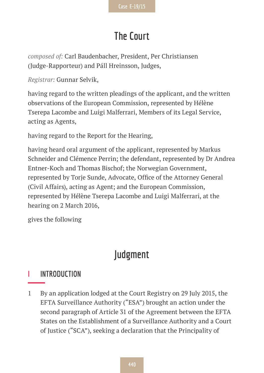## **The Court**

*composed of:* Carl Baudenbacher, President, Per Christiansen (Judge-Rapporteur) and Páll Hreinsson, Judges,

*Registrar:* Gunnar Selvik,

having regard to the written pleadings of the applicant, and the written observations of the European Commission, represented by Hélène Tserepa Lacombe and Luigi Malferrari, Members of its Legal Service, acting as Agents,

having regard to the Report for the Hearing,

having heard oral argument of the applicant, represented by Markus Schneider and Clémence Perrin; the defendant, represented by Dr Andrea Entner-Koch and Thomas Bischof; the Norwegian Government, represented by Torje Sunde, Advocate, Office of the Attorney General (Civil Affairs), acting as Agent; and the European Commission, represented by Hélène Tserepa Lacombe and Luigi Malferrari, at the hearing on 2 March 2016,

gives the following

## **Judgment**

#### **I INTRODUCTION**

1 By an application lodged at the Court Registry on 29 July 2015, the EFTA Surveillance Authority ("ESA") brought an action under the second paragraph of Article 31 of the Agreement between the EFTA States on the Establishment of a Surveillance Authority and a Court of Justice ("SCA"), seeking a declaration that the Principality of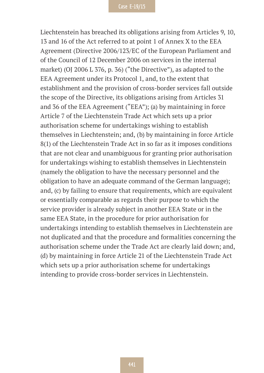Liechtenstein has breached its obligations arising from Articles 9, 10, 13 and 16 of the Act referred to at point 1 of Annex X to the EEA Agreement (Directive 2006/123/EC of the European Parliament and of the Council of 12 December 2006 on services in the internal market) (OJ 2006 L 376, p. 36) ("the Directive"), as adapted to the EEA Agreement under its Protocol 1, and, to the extent that establishment and the provision of cross-border services fall outside the scope of the Directive, its obligations arising from Articles 31 and 36 of the EEA Agreement ("EEA"); (a) by maintaining in force Article 7 of the Liechtenstein Trade Act which sets up a prior authorisation scheme for undertakings wishing to establish themselves in Liechtenstein; and, (b) by maintaining in force Article 8(1) of the Liechtenstein Trade Act in so far as it imposes conditions that are not clear and unambiguous for granting prior authorisation for undertakings wishing to establish themselves in Liechtenstein (namely the obligation to have the necessary personnel and the obligation to have an adequate command of the German language); and, (c) by failing to ensure that requirements, which are equivalent or essentially comparable as regards their purpose to which the service provider is already subject in another EEA State or in the same EEA State, in the procedure for prior authorisation for undertakings intending to establish themselves in Liechtenstein are not duplicated and that the procedure and formalities concerning the authorisation scheme under the Trade Act are clearly laid down; and, (d) by maintaining in force Article 21 of the Liechtenstein Trade Act which sets up a prior authorisation scheme for undertakings intending to provide cross-border services in Liechtenstein.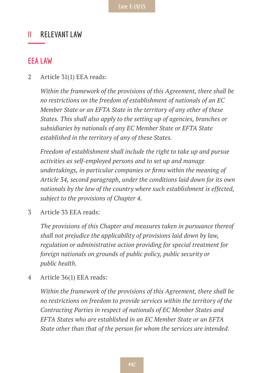#### **II RELEVANT LAW**

#### **EEA LAW**

2 Article 31(1) EEA reads:

*Within the framework of the provisions of this Agreement, there shall be no restrictions on the freedom of establishment of nationals of an EC Member State or an EFTA State in the territory of any other of these States. This shall also apply to the setting up of agencies, branches or subsidiaries by nationals of any EC Member State or EFTA State established in the territory of any of these States.*

*Freedom of establishment shall include the right to take up and pursue activities as self-employed persons and to set up and manage undertakings, in particular companies or firms within the meaning of Article 34, second paragraph, under the conditions laid down for its own nationals by the law of the country where such establishment is effected, subject to the provisions of Chapter 4.*

3 Article 33 EEA reads:

*The provisions of this Chapter and measures taken in pursuance thereof shall not prejudice the applicability of provisions laid down by law, regulation or administrative action providing for special treatment for foreign nationals on grounds of public policy, public security or public health.*

4 Article 36(1) EEA reads:

*Within the framework of the provisions of this Agreement, there shall be no restrictions on freedom to provide services within the territory of the Contracting Parties in respect of nationals of EC Member States and EFTA States who are established in an EC Member State or an EFTA State other than that of the person for whom the services are intended.*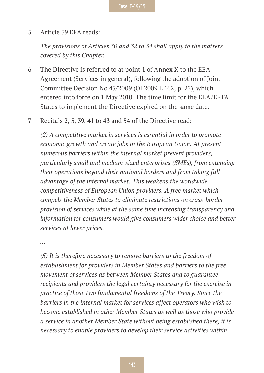5 Article 39 EEA reads:

*The provisions of Articles 30 and 32 to 34 shall apply to the matters covered by this Chapter.*

- 6 The Directive is referred to at point 1 of Annex X to the EEA Agreement (Services in general), following the adoption of Joint Committee Decision No 45/2009 (OJ 2009 L 162, p. 23), which entered into force on 1 May 2010. The time limit for the EEA/EFTA States to implement the Directive expired on the same date.
- 7 Recitals 2, 5, 39, 41 to 43 and 54 of the Directive read:

*(2) A competitive market in services is essential in order to promote economic growth and create jobs in the European Union. At present numerous barriers within the internal market prevent providers, particularly small and medium-sized enterprises (SMEs), from extending their operations beyond their national borders and from taking full advantage of the internal market. This weakens the worldwide competitiveness of European Union providers. A free market which compels the Member States to eliminate restrictions on cross-border provision of services while at the same time increasing transparency and information for consumers would give consumers wider choice and better services at lower prices.*

*…*

*(5) It is therefore necessary to remove barriers to the freedom of establishment for providers in Member States and barriers to the free movement of services as between Member States and to guarantee recipients and providers the legal certainty necessary for the exercise in practice of those two fundamental freedoms of the Treaty. Since the*  barriers in the internal market for services affect operators who wish to *become established in other Member States as well as those who provide a service in another Member State without being established there, it is necessary to enable providers to develop their service activities within*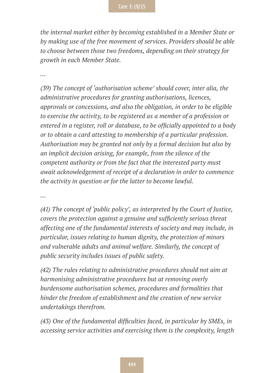*the internal market either by becoming established in a Member State or by making use of the free movement of services. Providers should be able to choose between those two freedoms, depending on their strategy for growth in each Member State.*

*…*

*(39) The concept of 'authorisation scheme' should cover, inter alia, the administrative procedures for granting authorisations, licences, approvals or concessions, and also the obligation, in order to be eligible to exercise the activity, to be registered as a member of a profession or entered in a register, roll or database, to be officially appointed to a body or to obtain a card attesting to membership of a particular profession. Authorisation may be granted not only by a formal decision but also by an implicit decision arising, for example, from the silence of the competent authority or from the fact that the interested party must await acknowledgement of receipt of a declaration in order to commence the activity in question or for the latter to become lawful.*

*…*

*(41) The concept of 'public policy', as interpreted by the Court of Justice, covers the protection against a genuine and sufficiently serious threat affecting one of the fundamental interests of society and may include, in particular, issues relating to human dignity, the protection of minors and vulnerable adults and animal welfare. Similarly, the concept of public security includes issues of public safety.*

*(42) The rules relating to administrative procedures should not aim at harmonising administrative procedures but at removing overly burdensome authorisation schemes, procedures and formalities that hinder the freedom of establishment and the creation of new service undertakings therefrom.*

*(43) One of the fundamental difficulties faced, in particular by SMEs, in accessing service activities and exercising them is the complexity, length*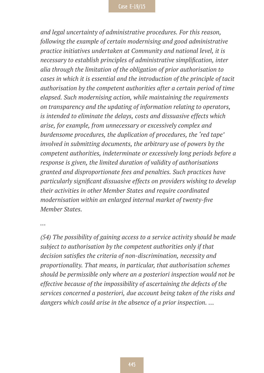*and legal uncertainty of administrative procedures. For this reason, following the example of certain modernising and good administrative practice initiatives undertaken at Community and national level, it is necessary to establish principles of administrative simplification, inter alia through the limitation of the obligation of prior authorisation to cases in which it is essential and the introduction of the principle of tacit authorisation by the competent authorities after a certain period of time elapsed. Such modernising action, while maintaining the requirements on transparency and the updating of information relating to operators, is intended to eliminate the delays, costs and dissuasive effects which arise, for example, from unnecessary or excessively complex and burdensome procedures, the duplication of procedures, the 'red tape' involved in submitting documents, the arbitrary use of powers by the competent authorities, indeterminate or excessively long periods before a response is given, the limited duration of validity of authorisations granted and disproportionate fees and penalties. Such practices have particularly significant dissuasive effects on providers wishing to develop their activities in other Member States and require coordinated modernisation within an enlarged internal market of twenty-five Member States.*

*…*

*(54) The possibility of gaining access to a service activity should be made subject to authorisation by the competent authorities only if that decision satisfies the criteria of non-discrimination, necessity and proportionality. That means, in particular, that authorisation schemes should be permissible only where an a posteriori inspection would not be effective because of the impossibility of ascertaining the defects of the services concerned a posteriori, due account being taken of the risks and dangers which could arise in the absence of a prior inspection. …*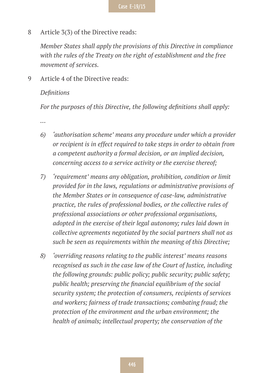8 Article 3(3) of the Directive reads:

*Member States shall apply the provisions of this Directive in compliance with the rules of the Treaty on the right of establishment and the free movement of services.*

9 Article 4 of the Directive reads:

#### *Definitions*

*For the purposes of this Directive, the following definitions shall apply:*

*…*

- *6) 'authorisation scheme' means any procedure under which a provider or recipient is in effect required to take steps in order to obtain from a competent authority a formal decision, or an implied decision, concerning access to a service activity or the exercise thereof;*
- *7) 'requirement' means any obligation, prohibition, condition or limit provided for in the laws, regulations or administrative provisions of the Member States or in consequence of case-law, administrative practice, the rules of professional bodies, or the collective rules of professional associations or other professional organisations, adopted in the exercise of their legal autonomy; rules laid down in collective agreements negotiated by the social partners shall not as such be seen as requirements within the meaning of this Directive;*
- *8) 'overriding reasons relating to the public interest' means reasons recognised as such in the case law of the Court of Justice, including the following grounds: public policy; public security; public safety; public health; preserving the financial equilibrium of the social security system; the protection of consumers, recipients of services and workers; fairness of trade transactions; combating fraud; the protection of the environment and the urban environment; the health of animals; intellectual property; the conservation of the*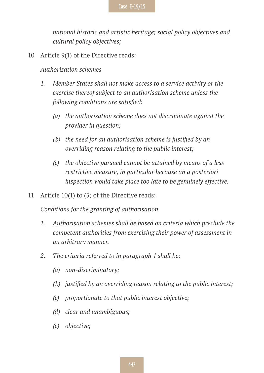

*national historic and artistic heritage; social policy objectives and cultural policy objectives;*

10 Article 9(1) of the Directive reads:

*Authorisation schemes*

- *1. Member States shall not make access to a service activity or the exercise thereof subject to an authorisation scheme unless the following conditions are satisfied:*
	- *(a) the authorisation scheme does not discriminate against the provider in question;*
	- *(b) the need for an authorisation scheme is justified by an overriding reason relating to the public interest;*
	- *(c) the objective pursued cannot be attained by means of a less restrictive measure, in particular because an a posteriori inspection would take place too late to be genuinely effective.*
- 11 Article 10(1) to (5) of the Directive reads:

*Conditions for the granting of authorisation*

- *1. Authorisation schemes shall be based on criteria which preclude the competent authorities from exercising their power of assessment in an arbitrary manner.*
- *2. The criteria referred to in paragraph 1 shall be:*
	- *(a) non-discriminatory;*
	- *(b) justified by an overriding reason relating to the public interest;*
	- *(c) proportionate to that public interest objective;*
	- *(d) clear and unambiguous;*
	- *(e) objective;*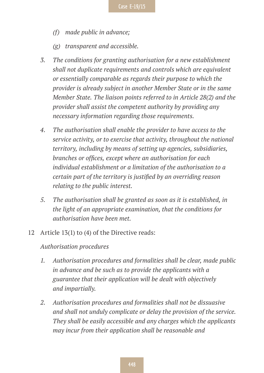- *(f) made public in advance;*
- *(g) transparent and accessible.*
- *3. The conditions for granting authorisation for a new establishment shall not duplicate requirements and controls which are equivalent or essentially comparable as regards their purpose to which the provider is already subject in another Member State or in the same Member State. The liaison points referred to in Article 28(2) and the provider shall assist the competent authority by providing any necessary information regarding those requirements.*
- *4. The authorisation shall enable the provider to have access to the service activity, or to exercise that activity, throughout the national territory, including by means of setting up agencies, subsidiaries, branches or offices, except where an authorisation for each individual establishment or a limitation of the authorisation to a certain part of the territory is justified by an overriding reason relating to the public interest.*
- *5. The authorisation shall be granted as soon as it is established, in the light of an appropriate examination, that the conditions for authorisation have been met.*
- 12 Article 13(1) to (4) of the Directive reads:

*Authorisation procedures*

- *1. Authorisation procedures and formalities shall be clear, made public in advance and be such as to provide the applicants with a guarantee that their application will be dealt with objectively and impartially.*
- *2. Authorisation procedures and formalities shall not be dissuasive and shall not unduly complicate or delay the provision of the service. They shall be easily accessible and any charges which the applicants may incur from their application shall be reasonable and*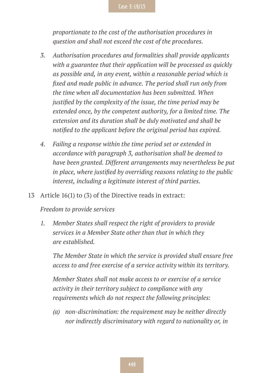

*proportionate to the cost of the authorisation procedures in question and shall not exceed the cost of the procedures.*

- *3. Authorisation procedures and formalities shall provide applicants with a guarantee that their application will be processed as quickly as possible and, in any event, within a reasonable period which is fixed and made public in advance. The period shall run only from the time when all documentation has been submitted. When justified by the complexity of the issue, the time period may be extended once, by the competent authority, for a limited time. The extension and its duration shall be duly motivated and shall be notified to the applicant before the original period has expired.*
- *4. Failing a response within the time period set or extended in accordance with paragraph 3, authorisation shall be deemed to have been granted. Different arrangements may nevertheless be put in place, where justified by overriding reasons relating to the public interest, including a legitimate interest of third parties.*
- 13 Article 16(1) to (3) of the Directive reads in extract:

*Freedom to provide services*

*1. Member States shall respect the right of providers to provide services in a Member State other than that in which they are established.*

*The Member State in which the service is provided shall ensure free access to and free exercise of a service activity within its territory.*

*Member States shall not make access to or exercise of a service activity in their territory subject to compliance with any requirements which do not respect the following principles:*

*(a) non-discrimination: the requirement may be neither directly nor indirectly discriminatory with regard to nationality or, in*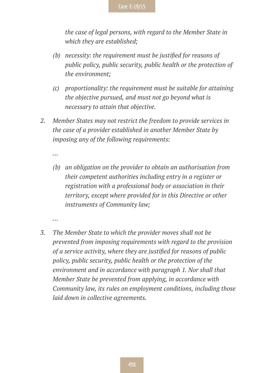

*the case of legal persons, with regard to the Member State in which they are established;*

- *(b) necessity: the requirement must be justified for reasons of public policy, public security, public health or the protection of the environment;*
- *(c) proportionality: the requirement must be suitable for attaining the objective pursued, and must not go beyond what is necessary to attain that objective.*
- *2. Member States may not restrict the freedom to provide services in the case of a provider established in another Member State by imposing any of the following requirements:*

*…*

- *(b) an obligation on the provider to obtain an authorisation from their competent authorities including entry in a register or registration with a professional body or association in their territory, except where provided for in this Directive or other instruments of Community law;*
- *…*
- *3. The Member State to which the provider moves shall not be prevented from imposing requirements with regard to the provision of a service activity, where they are justified for reasons of public policy, public security, public health or the protection of the environment and in accordance with paragraph 1. Nor shall that Member State be prevented from applying, in accordance with Community law, its rules on employment conditions, including those laid down in collective agreements.*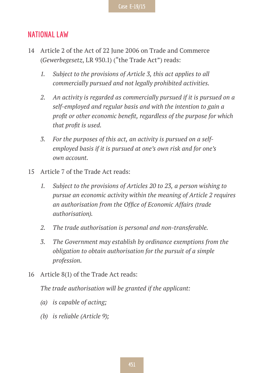#### **NATIONAL LAW**

- 14 Article 2 of the Act of 22 June 2006 on Trade and Commerce (*Gewerbegesetz*, LR 930.1) ("the Trade Act") reads:
	- *1. Subject to the provisions of Article 3, this act applies to all commercially pursued and not legally prohibited activities.*
	- *2. An activity is regarded as commercially pursued if it is pursued on a self-employed and regular basis and with the intention to gain a profit or other economic benefit, regardless of the purpose for which that profit is used.*
	- *3. For the purposes of this act, an activity is pursued on a selfemployed basis if it is pursued at one's own risk and for one's own account.*
- 15 Article 7 of the Trade Act reads:
	- *1. Subject to the provisions of Articles 20 to 23, a person wishing to pursue an economic activity within the meaning of Article 2 requires an authorisation from the Office of Economic Affairs (trade authorisation).*
	- *2. The trade authorisation is personal and non-transferable.*
	- *3. The Government may establish by ordinance exemptions from the obligation to obtain authorisation for the pursuit of a simple profession.*
- 16 Article 8(1) of the Trade Act reads:

*The trade authorisation will be granted if the applicant:*

- *(a) is capable of acting;*
- *(b) is reliable (Article 9);*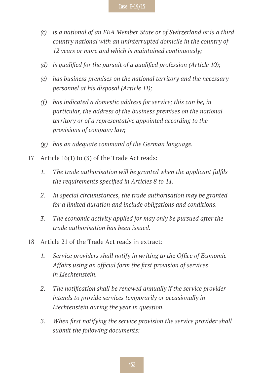- *(c) is a national of an EEA Member State or of Switzerland or is a third country national with an uninterrupted domicile in the country of 12 years or more and which is maintained continuously;*
- *(d) is qualified for the pursuit of a qualified profession (Article 10);*
- *(e) has business premises on the national territory and the necessary personnel at his disposal (Article 11);*
- *(f) has indicated a domestic address for service; this can be, in particular, the address of the business premises on the national territory or of a representative appointed according to the provisions of company law;*
- *(g) has an adequate command of the German language.*
- 17 Article 16(1) to (3) of the Trade Act reads:
	- *1. The trade authorisation will be granted when the applicant fulfils the requirements specified in Articles 8 to 14.*
	- *2. In special circumstances, the trade authorisation may be granted for a limited duration and include obligations and conditions.*
	- *3. The economic activity applied for may only be pursued after the trade authorisation has been issued.*
- 18 Article 21 of the Trade Act reads in extract:
	- *1. Service providers shall notify in writing to the Office of Economic Affairs using an official form the first provision of services in Liechtenstein.*
	- *2. The notification shall be renewed annually if the service provider intends to provide services temporarily or occasionally in Liechtenstein during the year in question.*
	- *3. When first notifying the service provision the service provider shall submit the following documents:*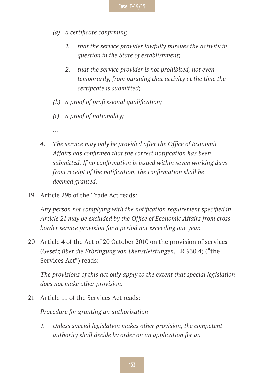- *(a) a certificate confirming*
	- *1. that the service provider lawfully pursues the activity in question in the State of establishment;*
	- *2. that the service provider is not prohibited, not even temporarily, from pursuing that activity at the time the certificate is submitted;*
- *(b) a proof of professional qualification;*
- *(c) a proof of nationality;*
- *…*
- *4. The service may only be provided after the Office of Economic Affairs has confirmed that the correct notification has been submitted. If no confirmation is issued within seven working days from receipt of the notification, the confirmation shall be deemed granted.*
- 19 Article 29b of the Trade Act reads:

*Any person not complying with the notification requirement specified in Article 21 may be excluded by the Office of Economic Affairs from crossborder service provision for a period not exceeding one year.*

20 Article 4 of the Act of 20 October 2010 on the provision of services (*Gesetz über die Erbringung von Dienstleistungen*, LR 930.4) ("the Services Act") reads:

*The provisions of this act only apply to the extent that special legislation does not make other provision.*

21 Article 11 of the Services Act reads:

*Procedure for granting an authorisation*

*1. Unless special legislation makes other provision, the competent authority shall decide by order on an application for an*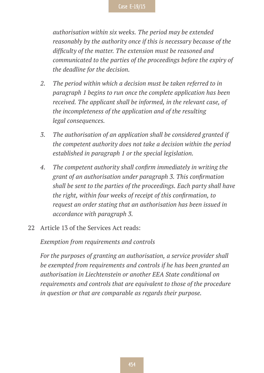*authorisation within six weeks. The period may be extended reasonably by the authority once if this is necessary because of the difficulty of the matter. The extension must be reasoned and communicated to the parties of the proceedings before the expiry of the deadline for the decision.*

- *2. The period within which a decision must be taken referred to in paragraph 1 begins to run once the complete application has been received. The applicant shall be informed, in the relevant case, of the incompleteness of the application and of the resulting legal consequences.*
- *3. The authorisation of an application shall be considered granted if the competent authority does not take a decision within the period established in paragraph 1 or the special legislation.*
- *4. The competent authority shall confirm immediately in writing the grant of an authorisation under paragraph 3. This confirmation shall be sent to the parties of the proceedings. Each party shall have the right, within four weeks of receipt of this confirmation, to request an order stating that an authorisation has been issued in accordance with paragraph 3.*
- 22 Article 13 of the Services Act reads:

*Exemption from requirements and controls*

*For the purposes of granting an authorisation, a service provider shall be exempted from requirements and controls if he has been granted an authorisation in Liechtenstein or another EEA State conditional on requirements and controls that are equivalent to those of the procedure in question or that are comparable as regards their purpose.*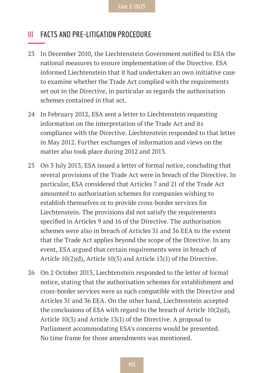#### **III FACTS AND PRE-LITIGATION PROCEDURE**

- 23 In December 2010, the Liechtenstein Government notified to ESA the national measures to ensure implementation of the Directive. ESA informed Liechtenstein that it had undertaken an own initiative case to examine whether the Trade Act complied with the requirements set out in the Directive, in particular as regards the authorisation schemes contained in that act.
- 24 In February 2012, ESA sent a letter to Liechtenstein requesting information on the interpretation of the Trade Act and its compliance with the Directive. Liechtenstein responded to that letter in May 2012. Further exchanges of information and views on the matter also took place during 2012 and 2013.
- 25 On 3 July 2013, ESA issued a letter of formal notice, concluding that several provisions of the Trade Act were in breach of the Directive. In particular, ESA considered that Articles 7 and 21 of the Trade Act amounted to authorisation schemes for companies wishing to establish themselves or to provide cross-border services for Liechtenstein. The provisions did not satisfy the requirements specified in Articles 9 and 16 of the Directive. The authorisation schemes were also in breach of Articles 31 and 36 EEA to the extent that the Trade Act applies beyond the scope of the Directive. In any event, ESA argued that certain requirements were in breach of Article 10(2)(d), Article 10(3) and Article 13(1) of the Directive.
- 26 On 2 October 2013, Liechtenstein responded to the letter of formal notice, stating that the authorisation schemes for establishment and cross-border services were as such compatible with the Directive and Articles 31 and 36 EEA. On the other hand, Liechtenstein accepted the conclusions of ESA with regard to the breach of Article 10(2)(d), Article 10(3) and Article 13(1) of the Directive. A proposal to Parliament accommodating ESA's concerns would be presented. No time frame for those amendments was mentioned.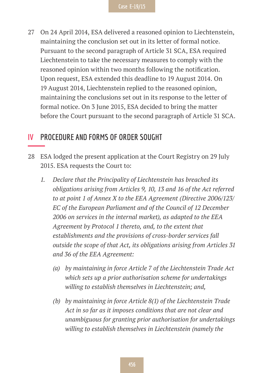27 On 24 April 2014, ESA delivered a reasoned opinion to Liechtenstein, maintaining the conclusion set out in its letter of formal notice. Pursuant to the second paragraph of Article 31 SCA, ESA required Liechtenstein to take the necessary measures to comply with the reasoned opinion within two months following the notification. Upon request, ESA extended this deadline to 19 August 2014. On 19 August 2014, Liechtenstein replied to the reasoned opinion, maintaining the conclusions set out in its response to the letter of formal notice. On 3 June 2015, ESA decided to bring the matter before the Court pursuant to the second paragraph of Article 31 SCA.

#### **IV PROCEDURE AND FORMS OF ORDER SOUGHT**

- 28 ESA lodged the present application at the Court Registry on 29 July 2015. ESA requests the Court to:
	- *1. Declare that the Principality of Liechtenstein has breached its obligations arising from Articles 9, 10, 13 and 16 of the Act referred to at point 1 of Annex X to the EEA Agreement (Directive 2006/123/ EC of the European Parliament and of the Council of 12 December 2006 on services in the internal market), as adapted to the EEA Agreement by Protocol 1 thereto, and, to the extent that establishments and the provisions of cross-border services fall outside the scope of that Act, its obligations arising from Articles 31 and 36 of the EEA Agreement:*
		- *(a) by maintaining in force Article 7 of the Liechtenstein Trade Act which sets up a prior authorisation scheme for undertakings willing to establish themselves in Liechtenstein; and,*
		- *(b) by maintaining in force Article 8(1) of the Liechtenstein Trade Act in so far as it imposes conditions that are not clear and unambiguous for granting prior authorisation for undertakings willing to establish themselves in Liechtenstein (namely the*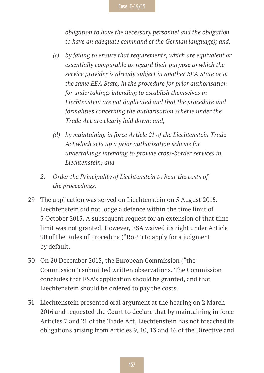

*obligation to have the necessary personnel and the obligation to have an adequate command of the German language); and,*

- *(c) by failing to ensure that requirements, which are equivalent or essentially comparable as regard their purpose to which the service provider is already subject in another EEA State or in the same EEA State, in the procedure for prior authorisation for undertakings intending to establish themselves in Liechtenstein are not duplicated and that the procedure and formalities concerning the authorisation scheme under the Trade Act are clearly laid down; and,*
- *(d) by maintaining in force Article 21 of the Liechtenstein Trade Act which sets up a prior authorisation scheme for undertakings intending to provide cross-border services in Liechtenstein; and*
- *2. Order the Principality of Liechtenstein to bear the costs of the proceedings.*
- 29 The application was served on Liechtenstein on 5 August 2015. Liechtenstein did not lodge a defence within the time limit of 5 October 2015. A subsequent request for an extension of that time limit was not granted. However, ESA waived its right under Article 90 of the Rules of Procedure ("RoP") to apply for a judgment by default.
- 30 On 20 December 2015, the European Commission ("the Commission") submitted written observations. The Commission concludes that ESA's application should be granted, and that Liechtenstein should be ordered to pay the costs.
- 31 Liechtenstein presented oral argument at the hearing on 2 March 2016 and requested the Court to declare that by maintaining in force Articles 7 and 21 of the Trade Act, Liechtenstein has not breached its obligations arising from Articles 9, 10, 13 and 16 of the Directive and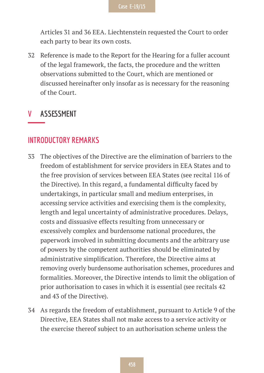Articles 31 and 36 EEA. Liechtenstein requested the Court to order each party to bear its own costs.

32 Reference is made to the Report for the Hearing for a fuller account of the legal framework, the facts, the procedure and the written observations submitted to the Court, which are mentioned or discussed hereinafter only insofar as is necessary for the reasoning of the Court.

#### **V ASSESSMENT**

#### **INTRODUCTORY REMARKS**

- 33 The objectives of the Directive are the elimination of barriers to the freedom of establishment for service providers in EEA States and to the free provision of services between EEA States (see recital 116 of the Directive). In this regard, a fundamental difficulty faced by undertakings, in particular small and medium enterprises, in accessing service activities and exercising them is the complexity, length and legal uncertainty of administrative procedures. Delays, costs and dissuasive effects resulting from unnecessary or excessively complex and burdensome national procedures, the paperwork involved in submitting documents and the arbitrary use of powers by the competent authorities should be eliminated by administrative simplification. Therefore, the Directive aims at removing overly burdensome authorisation schemes, procedures and formalities. Moreover, the Directive intends to limit the obligation of prior authorisation to cases in which it is essential (see recitals 42 and 43 of the Directive).
- 34 As regards the freedom of establishment, pursuant to Article 9 of the Directive, EEA States shall not make access to a service activity or the exercise thereof subject to an authorisation scheme unless the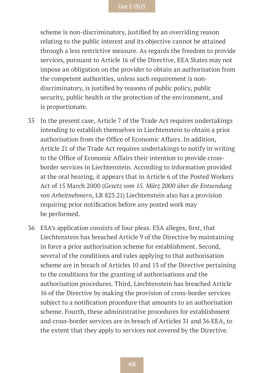scheme is non-discriminatory, justified by an overriding reason relating to the public interest and its objective cannot be attained through a less restrictive measure. As regards the freedom to provide services, pursuant to Article 16 of the Directive, EEA States may not impose an obligation on the provider to obtain an authorisation from the competent authorities, unless such requirement is nondiscriminatory, is justified by reasons of public policy, public security, public health or the protection of the environment, and is proportionate.

- 35 In the present case, Article 7 of the Trade Act requires undertakings intending to establish themselves in Liechtenstein to obtain a prior authorisation from the Office of Economic Affairs. In addition, Article 21 of the Trade Act requires undertakings to notify in writing to the Office of Economic Affairs their intention to provide crossborder services in Liechtenstein. According to information provided at the oral hearing, it appears that in Article 6 of the Posted Workers Act of 15 March 2000 (*Gesetz vom 15. März 2000 über die Entsendung von Arbeitnehmern*, LR 823.21) Liechtenstein also has a provision requiring prior notification before any posted work may be performed.
- 36 ESA's application consists of four pleas. ESA alleges, first, that Liechtenstein has breached Article 9 of the Directive by maintaining in force a prior authorisation scheme for establishment. Second, several of the conditions and rules applying to that authorisation scheme are in breach of Articles 10 and 13 of the Directive pertaining to the conditions for the granting of authorisations and the authorisation procedures. Third, Liechtenstein has breached Article 16 of the Directive by making the provision of cross-border services subject to a notification procedure that amounts to an authorisation scheme. Fourth, these administrative procedures for establishment and cross-border services are in breach of Articles 31 and 36 EEA, to the extent that they apply to services not covered by the Directive.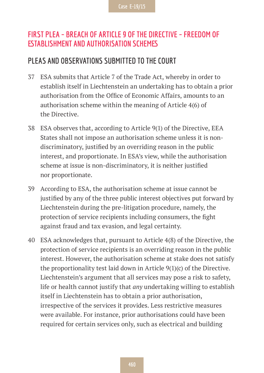#### **FIRST PLEA – BREACH OF ARTICLE 9 OF THE DIRECTIVE – FREEDOM OF ESTABLISHMENT AND AUTHORISATION SCHEMES**

#### **PLEAS AND OBSERVATIONS SUBMITTED TO THE COURT**

- 37 ESA submits that Article 7 of the Trade Act, whereby in order to establish itself in Liechtenstein an undertaking has to obtain a prior authorisation from the Office of Economic Affairs, amounts to an authorisation scheme within the meaning of Article 4(6) of the Directive.
- 38 ESA observes that, according to Article 9(1) of the Directive, EEA States shall not impose an authorisation scheme unless it is nondiscriminatory, justified by an overriding reason in the public interest, and proportionate. In ESA's view, while the authorisation scheme at issue is non-discriminatory, it is neither justified nor proportionate.
- 39 According to ESA, the authorisation scheme at issue cannot be justified by any of the three public interest objectives put forward by Liechtenstein during the pre-litigation procedure, namely, the protection of service recipients including consumers, the fight against fraud and tax evasion, and legal certainty.
- 40 ESA acknowledges that, pursuant to Article 4(8) of the Directive, the protection of service recipients is an overriding reason in the public interest. However, the authorisation scheme at stake does not satisfy the proportionality test laid down in Article 9(1)(c) of the Directive. Liechtenstein's argument that all services may pose a risk to safety, life or health cannot justify that *any* undertaking willing to establish itself in Liechtenstein has to obtain a prior authorisation, irrespective of the services it provides. Less restrictive measures were available. For instance, prior authorisations could have been required for certain services only, such as electrical and building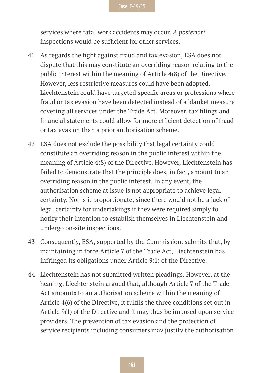services where fatal work accidents may occur. *A posteriori* inspections would be sufficient for other services.

- 41 As regards the fight against fraud and tax evasion, ESA does not dispute that this may constitute an overriding reason relating to the public interest within the meaning of Article 4(8) of the Directive. However, less restrictive measures could have been adopted. Liechtenstein could have targeted specific areas or professions where fraud or tax evasion have been detected instead of a blanket measure covering all services under the Trade Act. Moreover, tax filings and financial statements could allow for more efficient detection of fraud or tax evasion than a prior authorisation scheme.
- 42 ESA does not exclude the possibility that legal certainty could constitute an overriding reason in the public interest within the meaning of Article 4(8) of the Directive. However, Liechtenstein has failed to demonstrate that the principle does, in fact, amount to an overriding reason in the public interest. In any event, the authorisation scheme at issue is not appropriate to achieve legal certainty. Nor is it proportionate, since there would not be a lack of legal certainty for undertakings if they were required simply to notify their intention to establish themselves in Liechtenstein and undergo on-site inspections.
- 43 Consequently, ESA, supported by the Commission, submits that, by maintaining in force Article 7 of the Trade Act, Liechtenstein has infringed its obligations under Article 9(1) of the Directive.
- 44 Liechtenstein has not submitted written pleadings. However, at the hearing, Liechtenstein argued that, although Article 7 of the Trade Act amounts to an authorisation scheme within the meaning of Article 4(6) of the Directive, it fulfils the three conditions set out in Article 9(1) of the Directive and it may thus be imposed upon service providers. The prevention of tax evasion and the protection of service recipients including consumers may justify the authorisation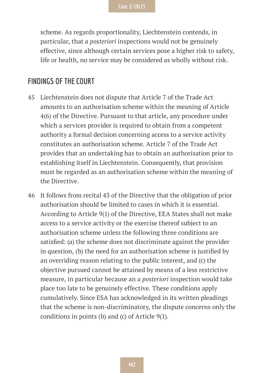

scheme. As regards proportionality, Liechtenstein contends, in particular, that *a posteriori* inspections would not be genuinely effective, since although certain services pose a higher risk to safety, life or health, no service may be considered as wholly without risk.

#### **FINDINGS OF THE COURT**

- 45 Liechtenstein does not dispute that Article 7 of the Trade Act amounts to an authorisation scheme within the meaning of Article 4(6) of the Directive. Pursuant to that article, any procedure under which a services provider is required to obtain from a competent authority a formal decision concerning access to a service activity constitutes an authorisation scheme. Article 7 of the Trade Act provides that an undertaking has to obtain an authorisation prior to establishing itself in Liechtenstein. Consequently, that provision must be regarded as an authorisation scheme within the meaning of the Directive.
- 46 It follows from recital 43 of the Directive that the obligation of prior authorisation should be limited to cases in which it is essential. According to Article 9(1) of the Directive, EEA States shall not make access to a service activity or the exercise thereof subject to an authorisation scheme unless the following three conditions are satisfied: (a) the scheme does not discriminate against the provider in question, (b) the need for an authorisation scheme is justified by an overriding reason relating to the public interest, and (c) the objective pursued cannot be attained by means of a less restrictive measure, in particular because an *a posteriori* inspection would take place too late to be genuinely effective. These conditions apply cumulatively. Since ESA has acknowledged in its written pleadings that the scheme is non-discriminatory, the dispute concerns only the conditions in points (b) and (c) of Article 9(1).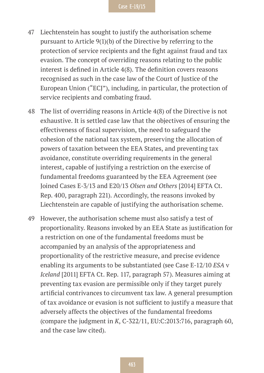- 47 Liechtenstein has sought to justify the authorisation scheme pursuant to Article 9(1)(b) of the Directive by referring to the protection of service recipients and the fight against fraud and tax evasion. The concept of overriding reasons relating to the public interest is defined in Article 4(8). The definition covers reasons recognised as such in the case law of the Court of Justice of the European Union ("ECJ"), including, in particular, the protection of service recipients and combating fraud.
- 48 The list of overriding reasons in Article 4(8) of the Directive is not exhaustive. It is settled case law that the objectives of ensuring the effectiveness of fiscal supervision, the need to safeguard the cohesion of the national tax system, preserving the allocation of powers of taxation between the EEA States, and preventing tax avoidance, constitute overriding requirements in the general interest, capable of justifying a restriction on the exercise of fundamental freedoms guaranteed by the EEA Agreement (see Joined Cases E-3/13 and E20/13 *Olsen and Others* [2014] EFTA Ct. Rep. 400, paragraph 221). Accordingly, the reasons invoked by Liechtenstein are capable of justifying the authorisation scheme.
- 49 However, the authorisation scheme must also satisfy a test of proportionality. Reasons invoked by an EEA State as justification for a restriction on one of the fundamental freedoms must be accompanied by an analysis of the appropriateness and proportionality of the restrictive measure, and precise evidence enabling its arguments to be substantiated (see Case E-12/10 *ESA* v *Iceland* [2011] EFTA Ct. Rep. 117, paragraph 57). Measures aiming at preventing tax evasion are permissible only if they target purely artificial contrivances to circumvent tax law. A general presumption of tax avoidance or evasion is not sufficient to justify a measure that adversely affects the objectives of the fundamental freedoms (compare the judgment in *K*, C-322/11, EU:C:2013:716, paragraph 60, and the case law cited).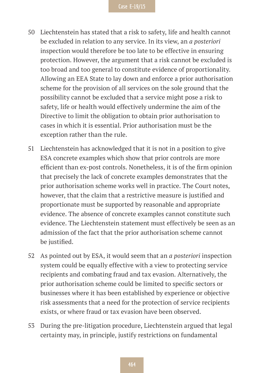- 50 Liechtenstein has stated that a risk to safety, life and health cannot be excluded in relation to any service. In its view, an *a posteriori* inspection would therefore be too late to be effective in ensuring protection. However, the argument that a risk cannot be excluded is too broad and too general to constitute evidence of proportionality. Allowing an EEA State to lay down and enforce a prior authorisation scheme for the provision of all services on the sole ground that the possibility cannot be excluded that a service might pose a risk to safety, life or health would effectively undermine the aim of the Directive to limit the obligation to obtain prior authorisation to cases in which it is essential. Prior authorisation must be the exception rather than the rule.
- 51 Liechtenstein has acknowledged that it is not in a position to give ESA concrete examples which show that prior controls are more efficient than ex-post controls. Nonetheless, it is of the firm opinion that precisely the lack of concrete examples demonstrates that the prior authorisation scheme works well in practice. The Court notes, however, that the claim that a restrictive measure is justified and proportionate must be supported by reasonable and appropriate evidence. The absence of concrete examples cannot constitute such evidence. The Liechtenstein statement must effectively be seen as an admission of the fact that the prior authorisation scheme cannot be justified.
- 52 As pointed out by ESA, it would seem that an *a posteriori* inspection system could be equally effective with a view to protecting service recipients and combating fraud and tax evasion. Alternatively, the prior authorisation scheme could be limited to specific sectors or businesses where it has been established by experience or objective risk assessments that a need for the protection of service recipients exists, or where fraud or tax evasion have been observed.
- 53 During the pre-litigation procedure, Liechtenstein argued that legal certainty may, in principle, justify restrictions on fundamental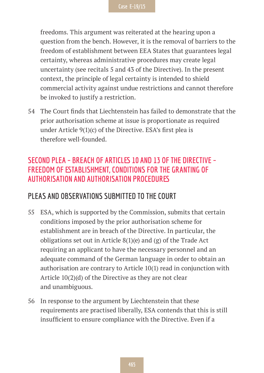freedoms. This argument was reiterated at the hearing upon a question from the bench. However, it is the removal of barriers to the freedom of establishment between EEA States that guarantees legal certainty, whereas administrative procedures may create legal uncertainty (see recitals 5 and 43 of the Directive). In the present context, the principle of legal certainty is intended to shield commercial activity against undue restrictions and cannot therefore be invoked to justify a restriction.

54 The Court finds that Liechtenstein has failed to demonstrate that the prior authorisation scheme at issue is proportionate as required under Article 9(1)(c) of the Directive. ESA's first plea is therefore well-founded.

#### **SECOND PLEA – BREACH OF ARTICLES 10 AND 13 OF THE DIRECTIVE – FREEDOM OF ESTABLISHMENT, CONDITIONS FOR THE GRANTING OF AUTHORISATION AND AUTHORISATION PROCEDURES**

#### **PLEAS AND OBSERVATIONS SUBMITTED TO THE COURT**

- 55 ESA, which is supported by the Commission, submits that certain conditions imposed by the prior authorisation scheme for establishment are in breach of the Directive. In particular, the obligations set out in Article 8(1)(e) and (g) of the Trade Act requiring an applicant to have the necessary personnel and an adequate command of the German language in order to obtain an authorisation are contrary to Article 10(1) read in conjunction with Article 10(2)(d) of the Directive as they are not clear and unambiguous.
- 56 In response to the argument by Liechtenstein that these requirements are practised liberally, ESA contends that this is still insufficient to ensure compliance with the Directive. Even if a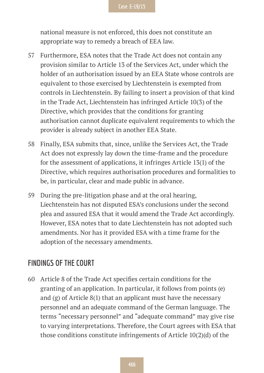national measure is not enforced, this does not constitute an appropriate way to remedy a breach of EEA law.

- 57 Furthermore, ESA notes that the Trade Act does not contain any provision similar to Article 13 of the Services Act, under which the holder of an authorisation issued by an EEA State whose controls are equivalent to those exercised by Liechtenstein is exempted from controls in Liechtenstein. By failing to insert a provision of that kind in the Trade Act, Liechtenstein has infringed Article 10(3) of the Directive, which provides that the conditions for granting authorisation cannot duplicate equivalent requirements to which the provider is already subject in another EEA State.
- 58 Finally, ESA submits that, since, unlike the Services Act, the Trade Act does not expressly lay down the time-frame and the procedure for the assessment of applications, it infringes Article 13(1) of the Directive, which requires authorisation procedures and formalities to be, in particular, clear and made public in advance.
- 59 During the pre-litigation phase and at the oral hearing, Liechtenstein has not disputed ESA's conclusions under the second plea and assured ESA that it would amend the Trade Act accordingly. However, ESA notes that to date Liechtenstein has not adopted such amendments. Nor has it provided ESA with a time frame for the adoption of the necessary amendments.

#### **FINDINGS OF THE COURT**

60 Article 8 of the Trade Act specifies certain conditions for the granting of an application. In particular, it follows from points (e) and  $(g)$  of Article  $8(1)$  that an applicant must have the necessary personnel and an adequate command of the German language. The terms "necessary personnel" and "adequate command" may give rise to varying interpretations. Therefore, the Court agrees with ESA that those conditions constitute infringements of Article 10(2)(d) of the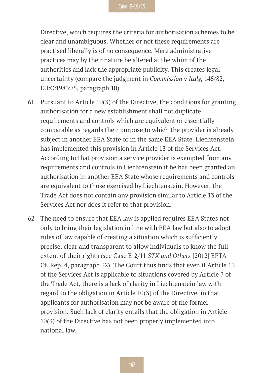Directive, which requires the criteria for authorisation schemes to be clear and unambiguous. Whether or not these requirements are practised liberally is of no consequence. Mere administrative practices may by their nature be altered at the whim of the authorities and lack the appropriate publicity. This creates legal uncertainty (compare the judgment in *Commission* v *Italy*, 145/82, EU:C:1983:75, paragraph 10).

- 61 Pursuant to Article 10(3) of the Directive, the conditions for granting authorisation for a new establishment shall not duplicate requirements and controls which are equivalent or essentially comparable as regards their purpose to which the provider is already subject in another EEA State or in the same EEA State. Liechtenstein has implemented this provision in Article 13 of the Services Act. According to that provision a service provider is exempted from any requirements and controls in Liechtenstein if he has been granted an authorisation in another EEA State whose requirements and controls are equivalent to those exercised by Liechtenstein. However, the Trade Act does not contain any provision similar to Article 13 of the Services Act nor does it refer to that provision.
- 62 The need to ensure that EEA law is applied requires EEA States not only to bring their legislation in line with EEA law but also to adopt rules of law capable of creating a situation which is sufficiently precise, clear and transparent to allow individuals to know the full extent of their rights (see Case E-2/11 *STX and Others* [2012] EFTA Ct. Rep. 4, paragraph 32). The Court thus finds that even if Article 13 of the Services Act is applicable to situations covered by Article 7 of the Trade Act, there is a lack of clarity in Liechtenstein law with regard to the obligation in Article 10(3) of the Directive, in that applicants for authorisation may not be aware of the former provision. Such lack of clarity entails that the obligation in Article 10(3) of the Directive has not been properly implemented into national law.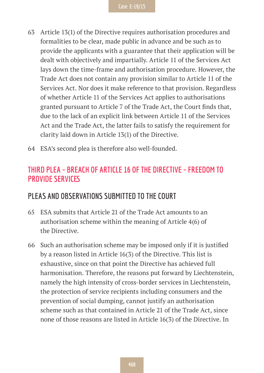- 63 Article 13(1) of the Directive requires authorisation procedures and formalities to be clear, made public in advance and be such as to provide the applicants with a guarantee that their application will be dealt with objectively and impartially. Article 11 of the Services Act lays down the time-frame and authorisation procedure. However, the Trade Act does not contain any provision similar to Article 11 of the Services Act. Nor does it make reference to that provision. Regardless of whether Article 11 of the Services Act applies to authorisations granted pursuant to Article 7 of the Trade Act, the Court finds that, due to the lack of an explicit link between Article 11 of the Services Act and the Trade Act, the latter fails to satisfy the requirement for clarity laid down in Article 13(1) of the Directive.
- 64 ESA's second plea is therefore also well-founded.

#### **THIRD PLEA – BREACH OF ARTICLE 16 OF THE DIRECTIVE – FREEDOM TO PROVIDE SERVICES**

#### **PLEAS AND OBSERVATIONS SUBMITTED TO THE COURT**

- 65 ESA submits that Article 21 of the Trade Act amounts to an authorisation scheme within the meaning of Article 4(6) of the Directive.
- 66 Such an authorisation scheme may be imposed only if it is justified by a reason listed in Article 16(3) of the Directive. This list is exhaustive, since on that point the Directive has achieved full harmonisation. Therefore, the reasons put forward by Liechtenstein, namely the high intensity of cross-border services in Liechtenstein, the protection of service recipients including consumers and the prevention of social dumping, cannot justify an authorisation scheme such as that contained in Article 21 of the Trade Act, since none of those reasons are listed in Article 16(3) of the Directive. In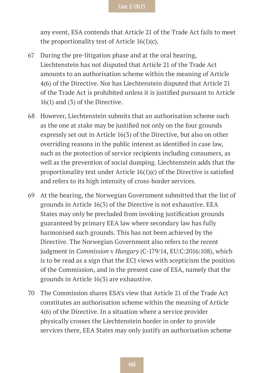any event, ESA contends that Article 21 of the Trade Act fails to meet the proportionality test of Article 16(1)(c).

- 67 During the pre-litigation phase and at the oral hearing, Liechtenstein has not disputed that Article 21 of the Trade Act amounts to an authorisation scheme within the meaning of Article 4(6) of the Directive. Nor has Liechtenstein disputed that Article 21 of the Trade Act is prohibited unless it is justified pursuant to Article 16(1) and (3) of the Directive.
- 68 However, Liechtenstein submits that an authorisation scheme such as the one at stake may be justified not only on the four grounds expressly set out in Article 16(3) of the Directive, but also on other overriding reasons in the public interest as identified in case law, such as the protection of service recipients including consumers, as well as the prevention of social dumping. Liechtenstein adds that the proportionality test under Article 16(1)(c) of the Directive is satisfied and refers to its high intensity of cross-border services.
- 69 At the hearing, the Norwegian Government submitted that the list of grounds in Article 16(3) of the Directive is not exhaustive. EEA States may only be precluded from invoking justification grounds guaranteed by primary EEA law where secondary law has fully harmonised such grounds. This has not been achieved by the Directive. The Norwegian Government also refers to the recent judgment in *Commission* v *Hungary* (C-179/14, EU:C:2016:108), which is to be read as a sign that the ECJ views with scepticism the position of the Commission, and in the present case of ESA, namely that the grounds in Article 16(3) are exhaustive.
- 70 The Commission shares ESA's view that Article 21 of the Trade Act constitutes an authorisation scheme within the meaning of Article 4(6) of the Directive. In a situation where a service provider physically crosses the Liechtenstein border in order to provide services there, EEA States may only justify an authorisation scheme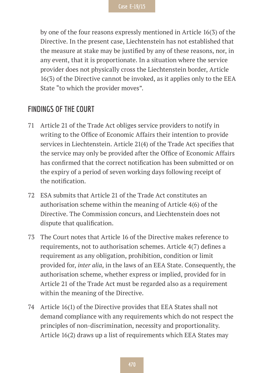by one of the four reasons expressly mentioned in Article 16(3) of the Directive. In the present case, Liechtenstein has not established that the measure at stake may be justified by any of these reasons, nor, in any event, that it is proportionate. In a situation where the service provider does not physically cross the Liechtenstein border, Article 16(3) of the Directive cannot be invoked, as it applies only to the EEA State "to which the provider moves".

#### **FINDINGS OF THE COURT**

- 71 Article 21 of the Trade Act obliges service providers to notify in writing to the Office of Economic Affairs their intention to provide services in Liechtenstein. Article 21(4) of the Trade Act specifies that the service may only be provided after the Office of Economic Affairs has confirmed that the correct notification has been submitted or on the expiry of a period of seven working days following receipt of the notification.
- 72 ESA submits that Article 21 of the Trade Act constitutes an authorisation scheme within the meaning of Article 4(6) of the Directive. The Commission concurs, and Liechtenstein does not dispute that qualification.
- 73 The Court notes that Article 16 of the Directive makes reference to requirements, not to authorisation schemes. Article 4(7) defines a requirement as any obligation, prohibition, condition or limit provided for, *inter alia*, in the laws of an EEA State. Consequently, the authorisation scheme, whether express or implied, provided for in Article 21 of the Trade Act must be regarded also as a requirement within the meaning of the Directive.
- 74 Article 16(1) of the Directive provides that EEA States shall not demand compliance with any requirements which do not respect the principles of non-discrimination, necessity and proportionality. Article 16(2) draws up a list of requirements which EEA States may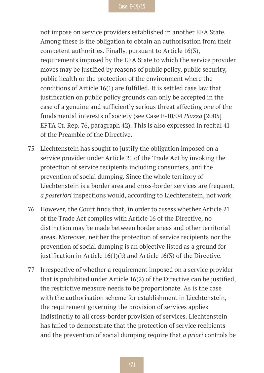not impose on service providers established in another EEA State. Among these is the obligation to obtain an authorisation from their competent authorities. Finally, pursuant to Article 16(3), requirements imposed by the EEA State to which the service provider moves may be justified by reasons of public policy, public security, public health or the protection of the environment where the conditions of Article 16(1) are fulfilled. It is settled case law that justification on public policy grounds can only be accepted in the case of a genuine and sufficiently serious threat affecting one of the fundamental interests of society (see Case E-10/04 *Piazza* [2005] EFTA Ct. Rep. 76, paragraph 42). This is also expressed in recital 41 of the Preamble of the Directive.

- 75 Liechtenstein has sought to justify the obligation imposed on a service provider under Article 21 of the Trade Act by invoking the protection of service recipients including consumers, and the prevention of social dumping. Since the whole territory of Liechtenstein is a border area and cross-border services are frequent, *a posteriori* inspections would, according to Liechtenstein, not work.
- 76 However, the Court finds that, in order to assess whether Article 21 of the Trade Act complies with Article 16 of the Directive, no distinction may be made between border areas and other territorial areas. Moreover, neither the protection of service recipients nor the prevention of social dumping is an objective listed as a ground for justification in Article 16(1)(b) and Article 16(3) of the Directive.
- 77 Irrespective of whether a requirement imposed on a service provider that is prohibited under Article 16(2) of the Directive can be justified, the restrictive measure needs to be proportionate. As is the case with the authorisation scheme for establishment in Liechtenstein, the requirement governing the provision of services applies indistinctly to all cross-border provision of services. Liechtenstein has failed to demonstrate that the protection of service recipients and the prevention of social dumping require that *a priori* controls be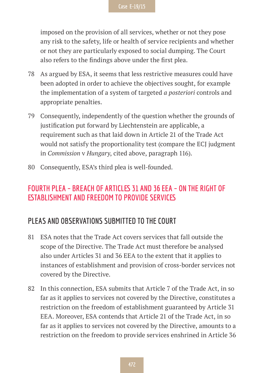imposed on the provision of all services, whether or not they pose any risk to the safety, life or health of service recipients and whether or not they are particularly exposed to social dumping. The Court also refers to the findings above under the first plea.

- 78 As argued by ESA, it seems that less restrictive measures could have been adopted in order to achieve the objectives sought, for example the implementation of a system of targeted *a posteriori* controls and appropriate penalties.
- 79 Consequently, independently of the question whether the grounds of justification put forward by Liechtenstein are applicable, a requirement such as that laid down in Article 21 of the Trade Act would not satisfy the proportionality test (compare the ECJ judgment in *Commission* v *Hungary*, cited above, paragraph 116).
- 80 Consequently, ESA's third plea is well-founded.

#### **FOURTH PLEA – BREACH OF ARTICLES 31 AND 36 EEA – ON THE RIGHT OF ESTABLISHMENT AND FREEDOM TO PROVIDE SERVICES**

## **PLEAS AND OBSERVATIONS SUBMITTED TO THE COURT**

- 81 ESA notes that the Trade Act covers services that fall outside the scope of the Directive. The Trade Act must therefore be analysed also under Articles 31 and 36 EEA to the extent that it applies to instances of establishment and provision of cross-border services not covered by the Directive.
- 82 In this connection, ESA submits that Article 7 of the Trade Act, in so far as it applies to services not covered by the Directive, constitutes a restriction on the freedom of establishment guaranteed by Article 31 EEA. Moreover, ESA contends that Article 21 of the Trade Act, in so far as it applies to services not covered by the Directive, amounts to a restriction on the freedom to provide services enshrined in Article 36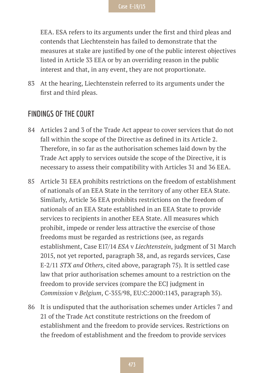EEA. ESA refers to its arguments under the first and third pleas and contends that Liechtenstein has failed to demonstrate that the measures at stake are justified by one of the public interest objectives listed in Article 33 EEA or by an overriding reason in the public interest and that, in any event, they are not proportionate.

83 At the hearing, Liechtenstein referred to its arguments under the first and third pleas.

#### **FINDINGS OF THE COURT**

- 84 Articles 2 and 3 of the Trade Act appear to cover services that do not fall within the scope of the Directive as defined in its Article 2. Therefore, in so far as the authorisation schemes laid down by the Trade Act apply to services outside the scope of the Directive, it is necessary to assess their compatibility with Articles 31 and 36 EEA.
- 85 Article 31 EEA prohibits restrictions on the freedom of establishment of nationals of an EEA State in the territory of any other EEA State. Similarly, Article 36 EEA prohibits restrictions on the freedom of nationals of an EEA State established in an EEA State to provide services to recipients in another EEA State. All measures which prohibit, impede or render less attractive the exercise of those freedoms must be regarded as restrictions (see, as regards establishment, Case E17/14 *ESA* v *Liechtenstein*, judgment of 31 March 2015, not yet reported, paragraph 38, and, as regards services, Case E-2/11 *STX and Others*, cited above, paragraph 75). It is settled case law that prior authorisation schemes amount to a restriction on the freedom to provide services (compare the ECJ judgment in *Commission* v *Belgium*, C-355/98, EU:C:2000:1143, paragraph 35).
- 86 It is undisputed that the authorisation schemes under Articles 7 and 21 of the Trade Act constitute restrictions on the freedom of establishment and the freedom to provide services. Restrictions on the freedom of establishment and the freedom to provide services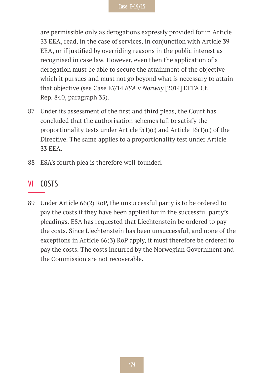are permissible only as derogations expressly provided for in Article 33 EEA, read, in the case of services, in conjunction with Article 39 EEA, or if justified by overriding reasons in the public interest as recognised in case law. However, even then the application of a derogation must be able to secure the attainment of the objective which it pursues and must not go beyond what is necessary to attain that objective (see Case E7/14 *ESA* v *Norway* [2014] EFTA Ct. Rep. 840, paragraph 35).

- 87 Under its assessment of the first and third pleas, the Court has concluded that the authorisation schemes fail to satisfy the proportionality tests under Article 9(1)(c) and Article 16(1)(c) of the Directive. The same applies to a proportionality test under Article 33 EEA.
- 88 ESA's fourth plea is therefore well-founded.

## **VI COSTS**

89 Under Article 66(2) RoP, the unsuccessful party is to be ordered to pay the costs if they have been applied for in the successful party's pleadings. ESA has requested that Liechtenstein be ordered to pay the costs. Since Liechtenstein has been unsuccessful, and none of the exceptions in Article 66(3) RoP apply, it must therefore be ordered to pay the costs. The costs incurred by the Norwegian Government and the Commission are not recoverable.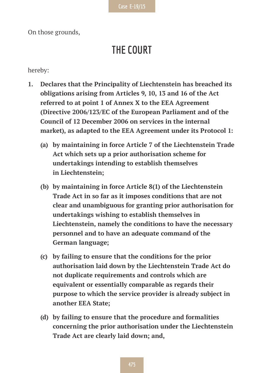On those grounds,

## **THE COURT**

#### hereby:

- **1. Declares that the Principality of Liechtenstein has breached its obligations arising from Articles 9, 10, 13 and 16 of the Act referred to at point 1 of Annex X to the EEA Agreement (Directive 2006/123/EC of the European Parliament and of the Council of 12 December 2006 on services in the internal market), as adapted to the EEA Agreement under its Protocol 1:**
	- **(a) by maintaining in force Article 7 of the Liechtenstein Trade Act which sets up a prior authorisation scheme for undertakings intending to establish themselves in Liechtenstein;**
	- **(b) by maintaining in force Article 8(1) of the Liechtenstein Trade Act in so far as it imposes conditions that are not clear and unambiguous for granting prior authorisation for undertakings wishing to establish themselves in Liechtenstein, namely the conditions to have the necessary personnel and to have an adequate command of the German language;**
	- **(c) by failing to ensure that the conditions for the prior authorisation laid down by the Liechtenstein Trade Act do not duplicate requirements and controls which are equivalent or essentially comparable as regards their purpose to which the service provider is already subject in another EEA State;**
	- **(d) by failing to ensure that the procedure and formalities concerning the prior authorisation under the Liechtenstein Trade Act are clearly laid down; and,**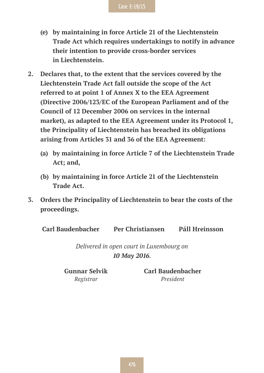- **(e) by maintaining in force Article 21 of the Liechtenstein Trade Act which requires undertakings to notify in advance their intention to provide cross-border services in Liechtenstein.**
- **2. Declares that, to the extent that the services covered by the Liechtenstein Trade Act fall outside the scope of the Act referred to at point 1 of Annex X to the EEA Agreement (Directive 2006/123/EC of the European Parliament and of the Council of 12 December 2006 on services in the internal market), as adapted to the EEA Agreement under its Protocol 1, the Principality of Liechtenstein has breached its obligations arising from Articles 31 and 36 of the EEA Agreement:**
	- **(a) by maintaining in force Article 7 of the Liechtenstein Trade Act; and,**
	- **(b) by maintaining in force Article 21 of the Liechtenstein Trade Act.**
- **3. Orders the Principality of Liechtenstein to bear the costs of the proceedings.**
	- **Carl Baudenbacher Per Christiansen Páll Hreinsson**

*Delivered in open court in Luxembourg on 10 May 2016.*

**Gunnar Selvik** *Registrar*

**Carl Baudenbacher** *President*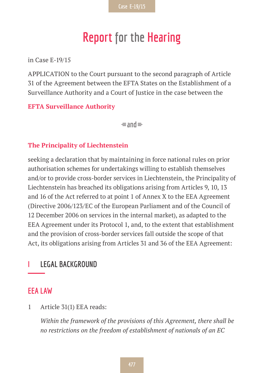# **Report for the Hearing**

in Case E-19/15

APPLICATION to the Court pursuant to the second paragraph of Article 31 of the Agreement between the EFTA States on the Establishment of a Surveillance Authority and a Court of Justice in the case between the

#### **EFTA Surveillance Authority**

 $\equiv$ and $\equiv$ 

#### **The Principality of Liechtenstein**

seeking a declaration that by maintaining in force national rules on prior authorisation schemes for undertakings willing to establish themselves and/or to provide cross-border services in Liechtenstein, the Principality of Liechtenstein has breached its obligations arising from Articles 9, 10, 13 and 16 of the Act referred to at point 1 of Annex X to the EEA Agreement (Directive 2006/123/EC of the European Parliament and of the Council of 12 December 2006 on services in the internal market), as adapted to the EEA Agreement under its Protocol 1, and, to the extent that establishment and the provision of cross-border services fall outside the scope of that Act, its obligations arising from Articles 31 and 36 of the EEA Agreement:

## **I LEGAL BACKGROUND**

#### **EEA LAW**

1 Article 31(1) EEA reads:

*Within the framework of the provisions of this Agreement, there shall be no restrictions on the freedom of establishment of nationals of an EC*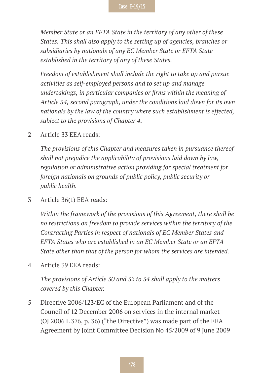*Member State or an EFTA State in the territory of any other of these States. This shall also apply to the setting up of agencies, branches or subsidiaries by nationals of any EC Member State or EFTA State established in the territory of any of these States.*

*Freedom of establishment shall include the right to take up and pursue activities as self-employed persons and to set up and manage undertakings, in particular companies or firms within the meaning of Article 34, second paragraph, under the conditions laid down for its own nationals by the law of the country where such establishment is effected, subject to the provisions of Chapter 4.*

2 Article 33 EEA reads:

*The provisions of this Chapter and measures taken in pursuance thereof shall not prejudice the applicability of provisions laid down by law, regulation or administrative action providing for special treatment for foreign nationals on grounds of public policy, public security or public health.*

3 Article 36(1) EEA reads:

*Within the framework of the provisions of this Agreement, there shall be no restrictions on freedom to provide services within the territory of the Contracting Parties in respect of nationals of EC Member States and EFTA States who are established in an EC Member State or an EFTA State other than that of the person for whom the services are intended.*

4 Article 39 EEA reads:

*The provisions of Article 30 and 32 to 34 shall apply to the matters covered by this Chapter.*

5 Directive 2006/123/EC of the European Parliament and of the Council of 12 December 2006 on services in the internal market (OJ 2006 L 376, p. 36) ("the Directive") was made part of the EEA Agreement by Joint Committee Decision No 45/2009 of 9 June 2009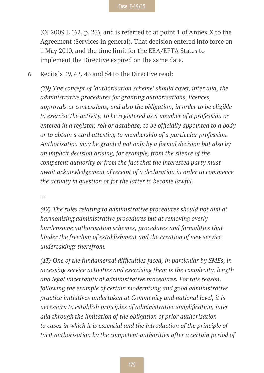(OJ 2009 L 162, p. 23), and is referred to at point 1 of Annex X to the Agreement (Services in general). That decision entered into force on 1 May 2010, and the time limit for the EEA/EFTA States to implement the Directive expired on the same date.

6 Recitals 39, 42, 43 and 54 to the Directive read:

*(39) The concept of 'authorisation scheme' should cover, inter alia, the administrative procedures for granting authorisations, licences, approvals or concessions, and also the obligation, in order to be eligible to exercise the activity, to be registered as a member of a profession or entered in a register, roll or database, to be officially appointed to a body or to obtain a card attesting to membership of a particular profession. Authorisation may be granted not only by a formal decision but also by an implicit decision arising, for example, from the silence of the competent authority or from the fact that the interested party must await acknowledgement of receipt of a declaration in order to commence the activity in question or for the latter to become lawful.*

*…*

*(42) The rules relating to administrative procedures should not aim at harmonising administrative procedures but at removing overly burdensome authorisation schemes, procedures and formalities that hinder the freedom of establishment and the creation of new service undertakings therefrom.*

*(43) One of the fundamental difficulties faced, in particular by SMEs, in accessing service activities and exercising them is the complexity, length and legal uncertainty of administrative procedures. For this reason, following the example of certain modernising and good administrative practice initiatives undertaken at Community and national level, it is necessary to establish principles of administrative simplification, inter alia through the limitation of the obligation of prior authorisation to cases in which it is essential and the introduction of the principle of tacit authorisation by the competent authorities after a certain period of*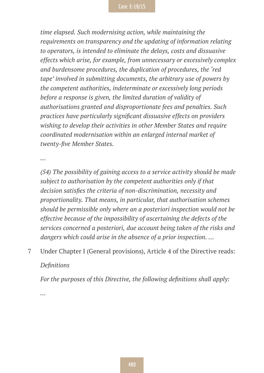#### **Case E-19/15**

*time elapsed. Such modernising action, while maintaining the requirements on transparency and the updating of information relating to operators, is intended to eliminate the delays, costs and dissuasive effects which arise, for example, from unnecessary or excessively complex and burdensome procedures, the duplication of procedures, the 'red tape' involved in submitting documents, the arbitrary use of powers by the competent authorities, indeterminate or excessively long periods before a response is given, the limited duration of validity of authorisations granted and disproportionate fees and penalties. Such practices have particularly significant dissuasive effects on providers wishing to develop their activities in other Member States and require coordinated modernisation within an enlarged internal market of twenty-five Member States.*

*…*

*(54) The possibility of gaining access to a service activity should be made subject to authorisation by the competent authorities only if that decision satisfies the criteria of non-discrimination, necessity and proportionality. That means, in particular, that authorisation schemes should be permissible only where an a posteriori inspection would not be effective because of the impossibility of ascertaining the defects of the services concerned a posteriori, due account being taken of the risks and dangers which could arise in the absence of a prior inspection. …*

7 Under Chapter I (General provisions), Article 4 of the Directive reads:

#### *Definitions*

*For the purposes of this Directive, the following definitions shall apply:*

*…*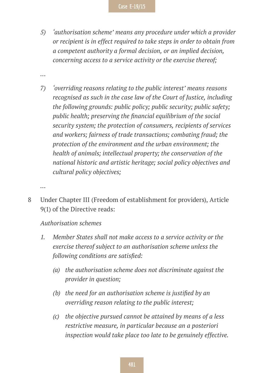- *5) 'authorisation scheme' means any procedure under which a provider or recipient is in effect required to take steps in order to obtain from a competent authority a formal decision, or an implied decision, concerning access to a service activity or the exercise thereof;*
- *…*
- *7) 'overriding reasons relating to the public interest' means reasons recognised as such in the case law of the Court of Justice, including the following grounds: public policy; public security; public safety; public health; preserving the financial equilibrium of the social security system; the protection of consumers, recipients of services and workers; fairness of trade transactions; combating fraud; the protection of the environment and the urban environment; the health of animals; intellectual property; the conservation of the national historic and artistic heritage; social policy objectives and cultural policy objectives;*
- *…*
- 8 Under Chapter III (Freedom of establishment for providers), Article 9(1) of the Directive reads:

#### *Authorisation schemes*

- *1. Member States shall not make access to a service activity or the exercise thereof subject to an authorisation scheme unless the following conditions are satisfied:*
	- *(a) the authorisation scheme does not discriminate against the provider in question;*
	- *(b) the need for an authorisation scheme is justified by an overriding reason relating to the public interest;*
	- *(c) the objective pursued cannot be attained by means of a less restrictive measure, in particular because an a posteriori inspection would take place too late to be genuinely effective.*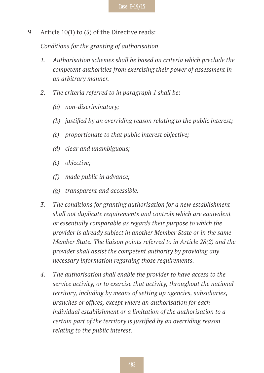9 Article 10(1) to (5) of the Directive reads:

*Conditions for the granting of authorisation*

- *1. Authorisation schemes shall be based on criteria which preclude the competent authorities from exercising their power of assessment in an arbitrary manner.*
- *2. The criteria referred to in paragraph 1 shall be:*
	- *(a) non-discriminatory;*
	- *(b) justified by an overriding reason relating to the public interest;*
	- *(c) proportionate to that public interest objective;*
	- *(d) clear and unambiguous;*
	- *(e) objective;*
	- *(f) made public in advance;*
	- *(g) transparent and accessible.*
- *3. The conditions for granting authorisation for a new establishment shall not duplicate requirements and controls which are equivalent or essentially comparable as regards their purpose to which the provider is already subject in another Member State or in the same Member State. The liaison points referred to in Article 28(2) and the provider shall assist the competent authority by providing any necessary information regarding those requirements.*
- *4. The authorisation shall enable the provider to have access to the service activity, or to exercise that activity, throughout the national territory, including by means of setting up agencies, subsidiaries, branches or offices, except where an authorisation for each individual establishment or a limitation of the authorisation to a certain part of the territory is justified by an overriding reason relating to the public interest.*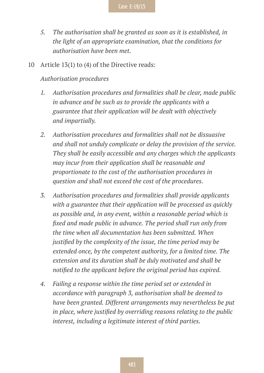- *5. The authorisation shall be granted as soon as it is established, in the light of an appropriate examination, that the conditions for authorisation have been met.*
- 10 Article 13(1) to (4) of the Directive reads:

#### *Authorisation procedures*

- *1. Authorisation procedures and formalities shall be clear, made public in advance and be such as to provide the applicants with a guarantee that their application will be dealt with objectively and impartially.*
- *2. Authorisation procedures and formalities shall not be dissuasive and shall not unduly complicate or delay the provision of the service. They shall be easily accessible and any charges which the applicants may incur from their application shall be reasonable and proportionate to the cost of the authorisation procedures in question and shall not exceed the cost of the procedures.*
- *3. Authorisation procedures and formalities shall provide applicants with a guarantee that their application will be processed as quickly as possible and, in any event, within a reasonable period which is fixed and made public in advance. The period shall run only from the time when all documentation has been submitted. When justified by the complexity of the issue, the time period may be extended once, by the competent authority, for a limited time. The extension and its duration shall be duly motivated and shall be notified to the applicant before the original period has expired.*
- *4. Failing a response within the time period set or extended in accordance with paragraph 3, authorisation shall be deemed to have been granted. Different arrangements may nevertheless be put in place, where justified by overriding reasons relating to the public interest, including a legitimate interest of third parties.*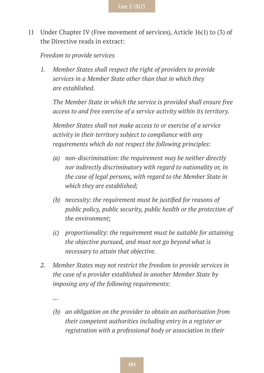11 Under Chapter IV (Free movement of services), Article 16(1) to (3) of the Directive reads in extract:

*Freedom to provide services*

*1. Member States shall respect the right of providers to provide services in a Member State other than that in which they are established.*

*The Member State in which the service is provided shall ensure free access to and free exercise of a service activity within its territory.*

*Member States shall not make access to or exercise of a service activity in their territory subject to compliance with any requirements which do not respect the following principles:*

- *(a) non-discrimination: the requirement may be neither directly nor indirectly discriminatory with regard to nationality or, in the case of legal persons, with regard to the Member State in which they are established;*
- *(b) necessity: the requirement must be justified for reasons of public policy, public security, public health or the protection of the environment;*
- *(c) proportionality: the requirement must be suitable for attaining the objective pursued, and must not go beyond what is necessary to attain that objective.*
- *2. Member States may not restrict the freedom to provide services in the case of a provider established in another Member State by imposing any of the following requirements:*

*…*

*(b) an obligation on the provider to obtain an authorisation from their competent authorities including entry in a register or registration with a professional body or association in their*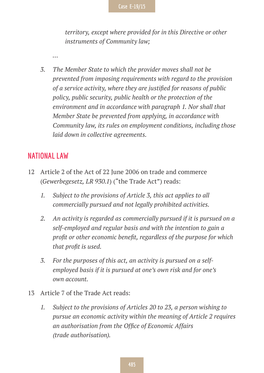*territory, except where provided for in this Directive or other instruments of Community law;*

- *…*
- *3. The Member State to which the provider moves shall not be prevented from imposing requirements with regard to the provision of a service activity, where they are justified for reasons of public policy, public security, public health or the protection of the environment and in accordance with paragraph 1. Nor shall that Member State be prevented from applying, in accordance with Community law, its rules on employment conditions, including those laid down in collective agreements.*

#### **NATIONAL LAW**

- 12 Article 2 of the Act of 22 June 2006 on trade and commerce (*Gewerbegesetz, LR 930.1*) ("the Trade Act") reads:
	- *1. Subject to the provisions of Article 3, this act applies to all commercially pursued and not legally prohibited activities.*
	- *2. An activity is regarded as commercially pursued if it is pursued on a self-employed and regular basis and with the intention to gain a profit or other economic benefit, regardless of the purpose for which that profit is used.*
	- *3. For the purposes of this act, an activity is pursued on a selfemployed basis if it is pursued at one's own risk and for one's own account.*
- 13 Article 7 of the Trade Act reads:
	- *1. Subject to the provisions of Articles 20 to 23, a person wishing to pursue an economic activity within the meaning of Article 2 requires an authorisation from the Office of Economic Affairs (trade authorisation).*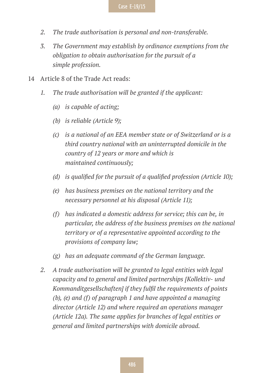- *2. The trade authorisation is personal and non-transferable.*
- *3. The Government may establish by ordinance exemptions from the obligation to obtain authorisation for the pursuit of a simple profession.*
- 14 Article 8 of the Trade Act reads:
	- *1. The trade authorisation will be granted if the applicant:*
		- *(a) is capable of acting;*
		- *(b) is reliable (Article 9);*
		- *(c) is a national of an EEA member state or of Switzerland or is a third country national with an uninterrupted domicile in the country of 12 years or more and which is maintained continuously;*
		- *(d) is qualified for the pursuit of a qualified profession (Article 10);*
		- *(e) has business premises on the national territory and the necessary personnel at his disposal (Article 11);*
		- *(f) has indicated a domestic address for service; this can be, in particular, the address of the business premises on the national territory or of a representative appointed according to the provisions of company law;*
		- *(g) has an adequate command of the German language.*
	- *2. A trade authorisation will be granted to legal entities with legal capacity and to general and limited partnerships [Kollektiv- und Kommanditgesellschaften] if they fulfil the requirements of points (b), (e) and (f) of paragraph 1 and have appointed a managing director (Article 12) and where required an operations manager (Article 12a). The same applies for branches of legal entities or general and limited partnerships with domicile abroad.*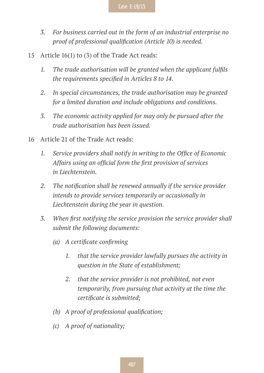- *3. For business carried out in the form of an industrial enterprise no proof of professional qualification (Article 10) is needed.*
- 15 Article 16(1) to (3) of the Trade Act reads:
	- *1. The trade authorisation will be granted when the applicant fulfils the requirements specified in Articles 8 to 14.*
	- *2. In special circumstances, the trade authorisation may be granted for a limited duration and include obligations and conditions.*
	- *3. The economic activity applied for may only be pursued after the trade authorisation has been issued.*
- 16 Article 21 of the Trade Act reads:
	- *1. Service providers shall notify in writing to the Office of Economic Affairs using an official form the first provision of services in Liechtenstein.*
	- *2. The notification shall be renewed annually if the service provider intends to provide services temporarily or occasionally in Liechtenstein during the year in question.*
	- *3. When first notifying the service provision the service provider shall submit the following documents:*
		- *(a) A certificate confirming*
			- *1. that the service provider lawfully pursues the activity in question in the State of establishment;*
			- *2. that the service provider is not prohibited, not even temporarily, from pursuing that activity at the time the certificate is submitted;*
		- *(b) A proof of professional qualification;*
		- *(c) A proof of nationality;*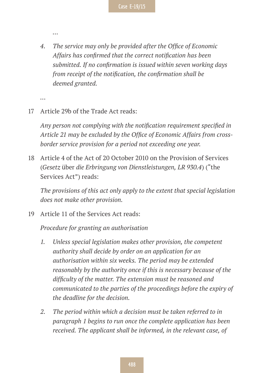*…*

*4. The service may only be provided after the Office of Economic Affairs has confirmed that the correct notification has been submitted. If no confirmation is issued within seven working days from receipt of the notification, the confirmation shall be deemed granted.*

*…*

17 Article 29b of the Trade Act reads:

*Any person not complying with the notification requirement specified in Article 21 may be excluded by the Office of Economic Affairs from crossborder service provision for a period not exceeding one year.*

18 Article 4 of the Act of 20 October 2010 on the Provision of Services (*Gesetz* über *die Erbringung von Dienstleistungen, LR 930.4*) ("the Services Act") reads:

*The provisions of this act only apply to the extent that special legislation does not make other provision.*

19 Article 11 of the Services Act reads:

*Procedure for granting an authorisation*

- *1. Unless special legislation makes other provision, the competent authority shall decide by order on an application for an authorisation within six weeks. The period may be extended reasonably by the authority once if this is necessary because of the difficulty of the matter. The extension must be reasoned and communicated to the parties of the proceedings before the expiry of the deadline for the decision.*
- *2. The period within which a decision must be taken referred to in paragraph 1 begins to run once the complete application has been received. The applicant shall be informed, in the relevant case, of*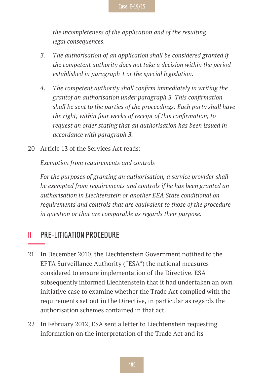

*the incompleteness of the application and of the resulting legal consequences.*

- *3. The authorisation of an application shall be considered granted if the competent authority does not take a decision within the period established in paragraph 1 or the special legislation.*
- *4. The competent authority shall confirm immediately in writing the grantof an authorisation under paragraph 3. This confirmation shall be sent to the parties of the proceedings. Each party shall have the right, within four weeks of receipt of this confirmation, to request an order stating that an authorisation has been issued in accordance with paragraph 3.*
- 20 Article 13 of the Services Act reads:

*Exemption from requirements and controls*

*For the purposes of granting an authorisation, a service provider shall be exempted from requirements and controls if he has been granted an authorisation in Liechtenstein or another EEA State conditional on requirements and controls that are equivalent to those of the procedure in question or that are comparable as regards their purpose.*

#### **II PRE-LITIGATION PROCEDURE**

- 21 In December 2010, the Liechtenstein Government notified to the EFTA Surveillance Authority ("ESA") the national measures considered to ensure implementation of the Directive. ESA subsequently informed Liechtenstein that it had undertaken an own initiative case to examine whether the Trade Act complied with the requirements set out in the Directive, in particular as regards the authorisation schemes contained in that act.
- 22 In February 2012, ESA sent a letter to Liechtenstein requesting information on the interpretation of the Trade Act and its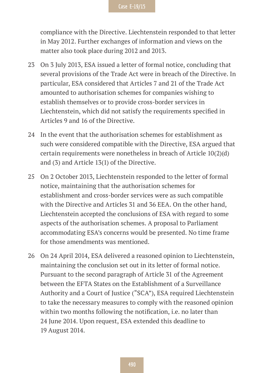compliance with the Directive. Liechtenstein responded to that letter in May 2012. Further exchanges of information and views on the matter also took place during 2012 and 2013.

- 23 On 3 July 2013, ESA issued a letter of formal notice, concluding that several provisions of the Trade Act were in breach of the Directive. In particular, ESA considered that Articles 7 and 21 of the Trade Act amounted to authorisation schemes for companies wishing to establish themselves or to provide cross-border services in Liechtenstein, which did not satisfy the requirements specified in Articles 9 and 16 of the Directive.
- 24 In the event that the authorisation schemes for establishment as such were considered compatible with the Directive, ESA argued that certain requirements were nonetheless in breach of Article 10(2)(d) and (3) and Article 13(1) of the Directive.
- 25 On 2 October 2013, Liechtenstein responded to the letter of formal notice, maintaining that the authorisation schemes for establishment and cross-border services were as such compatible with the Directive and Articles 31 and 36 EEA. On the other hand, Liechtenstein accepted the conclusions of ESA with regard to some aspects of the authorisation schemes. A proposal to Parliament accommodating ESA's concerns would be presented. No time frame for those amendments was mentioned.
- 26 On 24 April 2014, ESA delivered a reasoned opinion to Liechtenstein, maintaining the conclusion set out in its letter of formal notice. Pursuant to the second paragraph of Article 31 of the Agreement between the EFTA States on the Establishment of a Surveillance Authority and a Court of Justice ("SCA"), ESA required Liechtenstein to take the necessary measures to comply with the reasoned opinion within two months following the notification, i.e. no later than 24 June 2014. Upon request, ESA extended this deadline to 19 August 2014.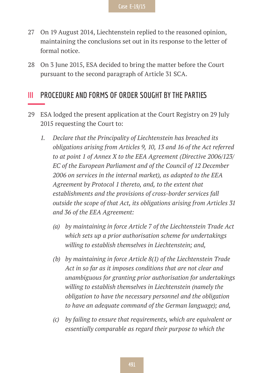- 27 On 19 August 2014, Liechtenstein replied to the reasoned opinion, maintaining the conclusions set out in its response to the letter of formal notice.
- 28 On 3 June 2015, ESA decided to bring the matter before the Court pursuant to the second paragraph of Article 31 SCA.

### **III PROCEDURE AND FORMS OF ORDER SOUGHT BY THE PARTIES**

- 29 ESA lodged the present application at the Court Registry on 29 July 2015 requesting the Court to:
	- *1. Declare that the Principality of Liechtenstein has breached its obligations arising from Articles 9, 10, 13 and 16 of the Act referred to at point 1 of Annex X to the EEA Agreement (Directive 2006/123/ EC of the European Parliament and of the Council of 12 December 2006 on services in the internal market), as adapted to the EEA Agreement by Protocol 1 thereto, and, to the extent that establishments and the provisions of cross-border services fall outside the scope of that Act, its obligations arising from Articles 31 and 36 of the EEA Agreement:*
		- *(a) by maintaining in force Article 7 of the Liechtenstein Trade Act which sets up a prior authorisation scheme for undertakings willing to establish themselves in Liechtenstein; and,*
		- *(b) by maintaining in force Article 8(1) of the Liechtenstein Trade Act in so far as it imposes conditions that are not clear and unambiguous for granting prior authorisation for undertakings willing to establish themselves in Liechtenstein (namely the obligation to have the necessary personnel and the obligation to have an adequate command of the German language); and,*
		- *(c) by failing to ensure that requirements, which are equivalent or essentially comparable as regard their purpose to which the*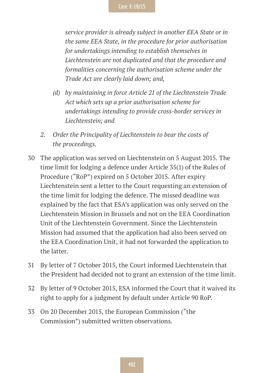*service provider is already subject in another EEA State or in the same EEA State, in the procedure for prior authorisation for undertakings intending to establish themselves in Liechtenstein are not duplicated and that the procedure and formalities concerning the authorisation scheme under the Trade Act are clearly laid down; and,*

- *(d) by maintaining in force Article 21 of the Liechtenstein Trade Act which sets up a prior authorisation scheme for undertakings intending to provide cross-border services in Liechtenstein; and*
- *2. Order the Principality of Liechtenstein to bear the costs of the proceedings.*
- 30 The application was served on Liechtenstein on 5 August 2015. The time limit for lodging a defence under Article 35(1) of the Rules of Procedure ("RoP") expired on 5 October 2015. After expiry Liechtenstein sent a letter to the Court requesting an extension of the time limit for lodging the defence. The missed deadline was explained by the fact that ESA's application was only served on the Liechtenstein Mission in Brussels and not on the EEA Coordination Unit of the Liechtenstein Government. Since the Liechtenstein Mission had assumed that the application had also been served on the EEA Coordination Unit, it had not forwarded the application to the latter.
- 31 By letter of 7 October 2015, the Court informed Liechtenstein that the President had decided not to grant an extension of the time limit.
- 32 By letter of 9 October 2015, ESA informed the Court that it waived its right to apply for a judgment by default under Article 90 RoP.
- 33 On 20 December 2015, the European Commission ("the Commission") submitted written observations.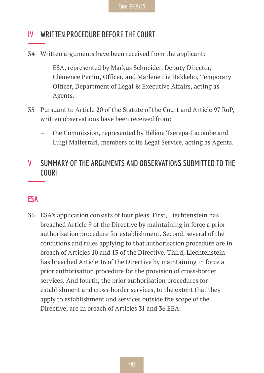#### **IV WRITTEN PROCEDURE BEFORE THE COURT**

- 34 Written arguments have been received from the applicant:
	- ESA, represented by Markus Schneider, Deputy Director, Clémence Perrin, Officer, and Marlene Lie Hakkebo, Temporary Officer, Department of Legal & Executive Affairs, acting as Agents.
- 35 Pursuant to Article 20 of the Statute of the Court and Article 97 RoP, written observations have been received from:
	- the Commission, represented by Hélène Tserepa-Lacombe and Luigi Malferrari, members of its Legal Service, acting as Agents.

#### **V SUMMARY OF THE ARGUMENTS AND OBSERVATIONS SUBMITTED TO THE COURT**

## **ESA**

36 ESA's application consists of four pleas. First, Liechtenstein has breached Article 9 of the Directive by maintaining in force a prior authorisation procedure for establishment. Second, several of the conditions and rules applying to that authorisation procedure are in breach of Articles 10 and 13 of the Directive. Third, Liechtenstein has breached Article 16 of the Directive by maintaining in force a prior authorisation procedure for the provision of cross-border services. And fourth, the prior authorisation procedures for establishment and cross-border services, to the extent that they apply to establishment and services outside the scope of the Directive, are in breach of Articles 31 and 36 EEA.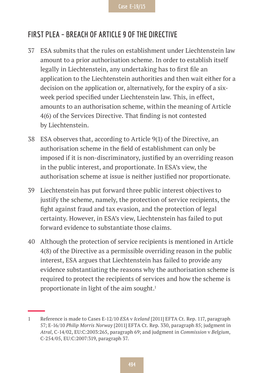## **FIRST PLEA – BREACH OF ARTICLE 9 OF THE DIRECTIVE**

- 37 ESA submits that the rules on establishment under Liechtenstein law amount to a prior authorisation scheme. In order to establish itself legally in Liechtenstein, any undertaking has to first file an application to the Liechtenstein authorities and then wait either for a decision on the application or, alternatively, for the expiry of a sixweek period specified under Liechtenstein law. This, in effect, amounts to an authorisation scheme, within the meaning of Article 4(6) of the Services Directive. That finding is not contested by Liechtenstein.
- 38 ESA observes that, according to Article 9(1) of the Directive, an authorisation scheme in the field of establishment can only be imposed if it is non-discriminatory, justified by an overriding reason in the public interest, and proportionate. In ESA's view, the authorisation scheme at issue is neither justified nor proportionate.
- 39 Liechtenstein has put forward three public interest objectives to justify the scheme, namely, the protection of service recipients, the fight against fraud and tax evasion, and the protection of legal certainty. However, in ESA's view, Liechtenstein has failed to put forward evidence to substantiate those claims.
- 40 Although the protection of service recipients is mentioned in Article 4(8) of the Directive as a permissible overriding reason in the public interest, ESA argues that Liechtenstein has failed to provide any evidence substantiating the reasons why the authorisation scheme is required to protect the recipients of services and how the scheme is proportionate in light of the aim sought.<sup>1</sup>

<sup>1</sup> Reference is made to Cases E-12/10 *ESA* v *Iceland* [2011] EFTA Ct. Rep. 117, paragraph 57; E-16/10 *Philip Morris Norway* [2011] EFTA Ct. Rep. 330, paragraph 85; judgment in *Atral*, C-14/02, EU:C:2003:265, paragraph 69; and judgment in *Commission* v *Belgium*, C-254/05, EU:C:2007:319, paragraph 37.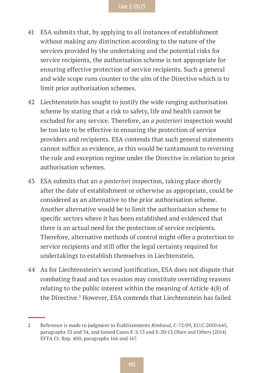- 41 ESA submits that, by applying to all instances of establishment without making any distinction according to the nature of the services provided by the undertaking and the potential risks for service recipients, the authorisation scheme is not appropriate for ensuring effective protection of service recipients. Such a general and wide scope runs counter to the aim of the Directive which is to limit prior authorisation schemes.
- 42 Liechtenstein has sought to justify the wide ranging authorisation scheme by stating that a risk to safety, life and health cannot be excluded for any service. Therefore, an *a posteriori* inspection would be too late to be effective in ensuring the protection of service providers and recipients. ESA contends that such general statements cannot suffice as evidence, as this would be tantamount to reversing the rule and exception regime under the Directive in relation to prior authorisation schemes.
- 43 ESA submits that an *a posteriori* inspection, taking place shortly after the date of establishment or otherwise as appropriate, could be considered as an alternative to the prior authorisation scheme. Another alternative would be to limit the authorisation scheme to specific sectors where it has been established and evidenced that there is an actual need for the protection of service recipients. Therefore, alternative methods of control might offer a protection to service recipients and still offer the legal certainty required for undertakings to establish themselves in Liechtenstein.
- 44 As for Liechtenstein's second justification, ESA does not dispute that combating fraud and tax evasion may constitute overriding reasons relating to the public interest within the meaning of Article 4(8) of the Directive.<sup>2</sup> However, ESA contends that Liechtenstein has failed

<sup>2</sup> Reference is made to judgment in Établissements *Rimbaud*, C-72/09, EU:C:2010:645, paragraphs 33 and 34, and Joined Cases E-3/13 and E-20/13 *Olsen and Others* [2014] EFTA Ct. Rep. 400, paragraphs 166 and 167.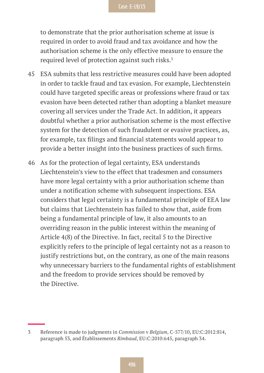to demonstrate that the prior authorisation scheme at issue is required in order to avoid fraud and tax avoidance and how the authorisation scheme is the only effective measure to ensure the required level of protection against such risks.3

- 45 ESA submits that less restrictive measures could have been adopted in order to tackle fraud and tax evasion. For example, Liechtenstein could have targeted specific areas or professions where fraud or tax evasion have been detected rather than adopting a blanket measure covering all services under the Trade Act. In addition, it appears doubtful whether a prior authorisation scheme is the most effective system for the detection of such fraudulent or evasive practices, as, for example, tax filings and financial statements would appear to provide a better insight into the business practices of such firms.
- 46 As for the protection of legal certainty, ESA understands Liechtenstein's view to the effect that tradesmen and consumers have more legal certainty with a prior authorisation scheme than under a notification scheme with subsequent inspections. ESA considers that legal certainty is a fundamental principle of EEA law but claims that Liechtenstein has failed to show that, aside from being a fundamental principle of law, it also amounts to an overriding reason in the public interest within the meaning of Article 4(8) of the Directive. In fact, recital 5 to the Directive explicitly refers to the principle of legal certainty not as a reason to justify restrictions but, on the contrary, as one of the main reasons why unnecessary barriers to the fundamental rights of establishment and the freedom to provide services should be removed by the Directive.

<sup>3</sup> Reference is made to judgments in *Commission* v *Belgium*, C-577/10, EU:C:2012:814, paragraph 53, and Établissements *Rimbaud*, EU:C:2010:645, paragraph 34.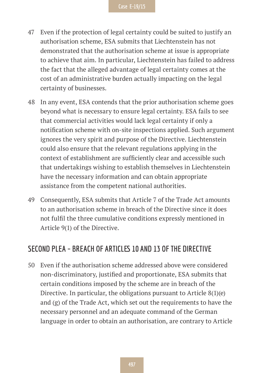- 47 Even if the protection of legal certainty could be suited to justify an authorisation scheme, ESA submits that Liechtenstein has not demonstrated that the authorisation scheme at issue is appropriate to achieve that aim. In particular, Liechtenstein has failed to address the fact that the alleged advantage of legal certainty comes at the cost of an administrative burden actually impacting on the legal certainty of businesses.
- 48 In any event, ESA contends that the prior authorisation scheme goes beyond what is necessary to ensure legal certainty. ESA fails to see that commercial activities would lack legal certainty if only a notification scheme with on-site inspections applied. Such argument ignores the very spirit and purpose of the Directive. Liechtenstein could also ensure that the relevant regulations applying in the context of establishment are sufficiently clear and accessible such that undertakings wishing to establish themselves in Liechtenstein have the necessary information and can obtain appropriate assistance from the competent national authorities.
- 49 Consequently, ESA submits that Article 7 of the Trade Act amounts to an authorisation scheme in breach of the Directive since it does not fulfil the three cumulative conditions expressly mentioned in Article 9(1) of the Directive.

#### **SECOND PLEA – BREACH OF ARTICLES 10 AND 13 OF THE DIRECTIVE**

50 Even if the authorisation scheme addressed above were considered non-discriminatory, justified and proportionate, ESA submits that certain conditions imposed by the scheme are in breach of the Directive. In particular, the obligations pursuant to Article 8(1)(e) and (g) of the Trade Act, which set out the requirements to have the necessary personnel and an adequate command of the German language in order to obtain an authorisation, are contrary to Article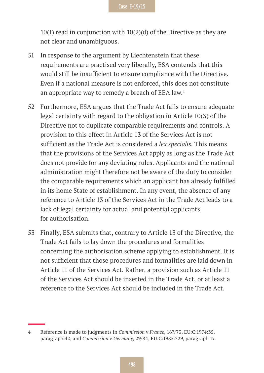10(1) read in conjunction with 10(2)(d) of the Directive as they are not clear and unambiguous.

- 51 In response to the argument by Liechtenstein that these requirements are practised very liberally, ESA contends that this would still be insufficient to ensure compliance with the Directive. Even if a national measure is not enforced, this does not constitute an appropriate way to remedy a breach of EEA law.<sup>4</sup>
- 52 Furthermore, ESA argues that the Trade Act fails to ensure adequate legal certainty with regard to the obligation in Article 10(3) of the Directive not to duplicate comparable requirements and controls. A provision to this effect in Article 13 of the Services Act is not sufficient as the Trade Act is considered a *lex specialis*. This means that the provisions of the Services Act apply as long as the Trade Act does not provide for any deviating rules. Applicants and the national administration might therefore not be aware of the duty to consider the comparable requirements which an applicant has already fulfilled in its home State of establishment. In any event, the absence of any reference to Article 13 of the Services Act in the Trade Act leads to a lack of legal certainty for actual and potential applicants for authorisation.
- 53 Finally, ESA submits that, contrary to Article 13 of the Directive, the Trade Act fails to lay down the procedures and formalities concerning the authorisation scheme applying to establishment. It is not sufficient that those procedures and formalities are laid down in Article 11 of the Services Act. Rather, a provision such as Article 11 of the Services Act should be inserted in the Trade Act, or at least a reference to the Services Act should be included in the Trade Act.

<sup>4</sup> Reference is made to judgments in *Commission* v *France*, 167/73, EU:C:1974:35, paragraph 42, and *Commission* v *Germany*, 29/84, EU:C:1985:229, paragraph 17.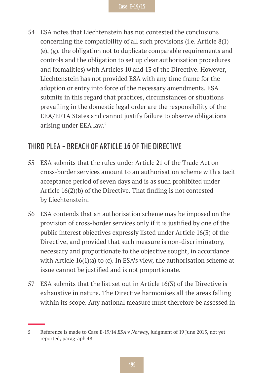54 ESA notes that Liechtenstein has not contested the conclusions concerning the compatibility of all such provisions (i.e. Article 8(1) (e), (g), the obligation not to duplicate comparable requirements and controls and the obligation to set up clear authorisation procedures and formalities) with Articles 10 and 13 of the Directive. However, Liechtenstein has not provided ESA with any time frame for the adoption or entry into force of the necessary amendments. ESA submits in this regard that practices, circumstances or situations prevailing in the domestic legal order are the responsibility of the EEA/EFTA States and cannot justify failure to observe obligations arising under EEA law.5

#### **THIRD PLEA – BREACH OF ARTICLE 16 OF THE DIRECTIVE**

- 55 ESA submits that the rules under Article 21 of the Trade Act on cross-border services amount to an authorisation scheme with a tacit acceptance period of seven days and is as such prohibited under Article 16(2)(b) of the Directive. That finding is not contested by Liechtenstein.
- 56 ESA contends that an authorisation scheme may be imposed on the provision of cross-border services only if it is justified by one of the public interest objectives expressly listed under Article 16(3) of the Directive, and provided that such measure is non-discriminatory, necessary and proportionate to the objective sought, in accordance with Article 16(1)(a) to (c). In ESA's view, the authorisation scheme at issue cannot be justified and is not proportionate.
- 57 ESA submits that the list set out in Article 16(3) of the Directive is exhaustive in nature. The Directive harmonises all the areas falling within its scope. Any national measure must therefore be assessed in

<sup>5</sup> Reference is made to Case E-19/14 *ESA* v *Norway*, judgment of 19 June 2015, not yet reported, paragraph 48.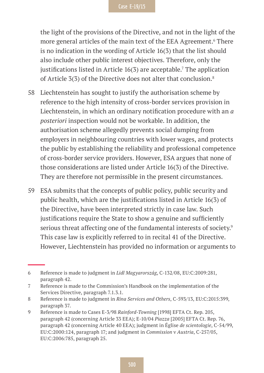the light of the provisions of the Directive, and not in the light of the more general articles of the main text of the EEA Agreement.' There is no indication in the wording of Article 16(3) that the list should also include other public interest objectives. Therefore, only the justifications listed in Article  $16(3)$  are acceptable.<sup>7</sup> The application of Article 3(3) of the Directive does not alter that conclusion.<sup>8</sup>

- 58 Liechtenstein has sought to justify the authorisation scheme by reference to the high intensity of cross-border services provision in Liechtenstein, in which an ordinary notification procedure with an *a posteriori* inspection would not be workable. In addition, the authorisation scheme allegedly prevents social dumping from employers in neighbouring countries with lower wages, and protects the public by establishing the reliability and professional competence of cross-border service providers. However, ESA argues that none of those considerations are listed under Article 16(3) of the Directive. They are therefore not permissible in the present circumstances.
- 59 ESA submits that the concepts of public policy, public security and public health, which are the justifications listed in Article 16(3) of the Directive, have been interpreted strictly in case law. Such justifications require the State to show a genuine and sufficiently serious threat affecting one of the fundamental interests of society.<sup>9</sup> This case law is explicitly referred to in recital 41 of the Directive. However, Liechtenstein has provided no information or arguments to

- 8 Reference is made to judgment in *Rina Services and Others*, C-593/13, EU:C:2015:399, paragraph 37.
- 9 Reference is made to Cases E-3/98 *Rainford-Towning* [1998] EFTA Ct. Rep. 205, paragraph 42 (concerning Article 33 EEA); E-10/04 *Piazza* [2005] EFTA Ct. Rep. 76, paragraph 42 (concerning Article 40 EEA); judgment in Église *de scientologie*, C-54/99, EU:C:2000:124, paragraph 17; and judgment in *Commission* v *Austria*, C-257/05, EU:C:2006:785, paragraph 25.

<sup>6</sup> Reference is made to judgment in *Lidl Magyarország*, C-132/08, EU:C:2009:281, paragraph 42.

<sup>7</sup> Reference is made to the Commission's Handbook on the implementation of the Services Directive, paragraph 7.1.3.1.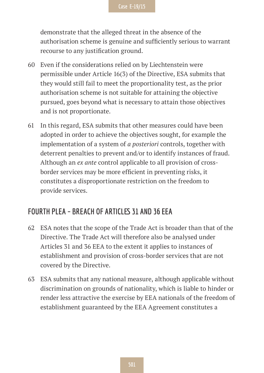demonstrate that the alleged threat in the absence of the authorisation scheme is genuine and sufficiently serious to warrant recourse to any justification ground.

- 60 Even if the considerations relied on by Liechtenstein were permissible under Article 16(3) of the Directive, ESA submits that they would still fail to meet the proportionality test, as the prior authorisation scheme is not suitable for attaining the objective pursued, goes beyond what is necessary to attain those objectives and is not proportionate.
- 61 In this regard, ESA submits that other measures could have been adopted in order to achieve the objectives sought, for example the implementation of a system of *a posteriori* controls, together with deterrent penalties to prevent and/or to identify instances of fraud. Although an *ex ante* control applicable to all provision of crossborder services may be more efficient in preventing risks, it constitutes a disproportionate restriction on the freedom to provide services.

#### **FOURTH PLEA – BREACH OF ARTICLES 31 AND 36 EEA**

- 62 ESA notes that the scope of the Trade Act is broader than that of the Directive. The Trade Act will therefore also be analysed under Articles 31 and 36 EEA to the extent it applies to instances of establishment and provision of cross-border services that are not covered by the Directive.
- 63 ESA submits that any national measure, although applicable without discrimination on grounds of nationality, which is liable to hinder or render less attractive the exercise by EEA nationals of the freedom of establishment guaranteed by the EEA Agreement constitutes a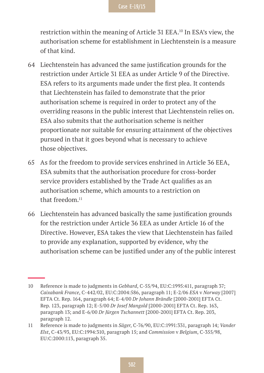restriction within the meaning of Article 31 EEA.10 In ESA's view, the authorisation scheme for establishment in Liechtenstein is a measure of that kind.

- 64 Liechtenstein has advanced the same justification grounds for the restriction under Article 31 EEA as under Article 9 of the Directive. ESA refers to its arguments made under the first plea. It contends that Liechtenstein has failed to demonstrate that the prior authorisation scheme is required in order to protect any of the overriding reasons in the public interest that Liechtenstein relies on. ESA also submits that the authorisation scheme is neither proportionate nor suitable for ensuring attainment of the objectives pursued in that it goes beyond what is necessary to achieve those objectives.
- 65 As for the freedom to provide services enshrined in Article 36 EEA, ESA submits that the authorisation procedure for cross-border service providers established by the Trade Act qualifies as an authorisation scheme, which amounts to a restriction on that freedom.<sup>11</sup>
- 66 Liechtenstein has advanced basically the same justification grounds for the restriction under Article 36 EEA as under Article 16 of the Directive. However, ESA takes the view that Liechtenstein has failed to provide any explanation, supported by evidence, why the authorisation scheme can be justified under any of the public interest

<sup>10</sup> Reference is made to judgments in *Gebhard*, C-55/94, EU:C:1995:411, paragraph 37; *Caixabank France*, C-442/02, EU:C:2004:586, paragraph 11; E-2/06 *ESA* v *Norway* [2007] EFTA Ct. Rep. 164, paragraph 64; E-4/00 *Dr Johann Brändle* [2000-2001] EFTA Ct. Rep. 123, paragraph 12; E-5/00 *Dr Josef Mangold* [2000-2001] EFTA Ct. Rep. 163, paragraph 13; and E-6/00 *Dr Jürgen Tschannett* [2000-2001] EFTA Ct. Rep. 203, paragraph 12.

<sup>11</sup> Reference is made to judgments in *Säger*, C-76/90, EU:C:1991:331, paragraph 14; *Vander Elst*, C-43/93, EU:C:1994:310, paragraph 15; and *Commission* v *Belgium*, C-355/98, EU:C:2000:113, paragraph 35.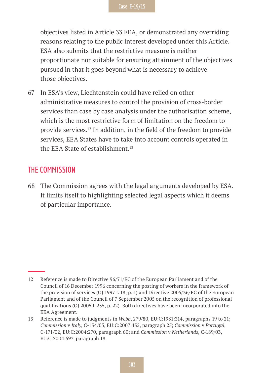objectives listed in Article 33 EEA, or demonstrated any overriding reasons relating to the public interest developed under this Article. ESA also submits that the restrictive measure is neither proportionate nor suitable for ensuring attainment of the objectives pursued in that it goes beyond what is necessary to achieve those objectives.

67 In ESA's view, Liechtenstein could have relied on other administrative measures to control the provision of cross-border services than case by case analysis under the authorisation scheme, which is the most restrictive form of limitation on the freedom to provide services.12 In addition, in the field of the freedom to provide services, EEA States have to take into account controls operated in the EEA State of establishment.<sup>13</sup>

#### **THE COMMISSION**

68 The Commission agrees with the legal arguments developed by ESA. It limits itself to highlighting selected legal aspects which it deems of particular importance.

<sup>12</sup> Reference is made to Directive 96/71/EC of the European Parliament and of the Council of 16 December 1996 concerning the posting of workers in the framework of the provision of services (OJ 1997 L 18, p. 1) and Directive 2005/36/EC of the European Parliament and of the Council of 7 September 2005 on the recognition of professional qualifications (OJ 2005 L 255, p. 22). Both directives have been incorporated into the EEA Agreement.

<sup>13</sup> Reference is made to judgments in *Webb*, 279/80, EU:C:1981:314, paragraphs 19 to 21; *Commission* v *Italy*, C-134/05, EU:C:2007:435, paragraph 25; *Commission* v *Portugal*, C-171/02, EU:C:2004:270, paragraph 60; and *Commission* v *Netherlands*, C-189/03, EU:C:2004:597, paragraph 18.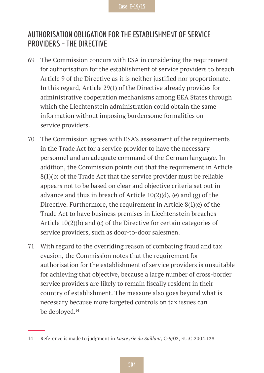### **AUTHORISATION OBLIGATION FOR THE ESTABLISHMENT OF SERVICE PROVIDERS – THE DIRECTIVE**

- 69 The Commission concurs with ESA in considering the requirement for authorisation for the establishment of service providers to breach Article 9 of the Directive as it is neither justified nor proportionate. In this regard, Article 29(1) of the Directive already provides for administrative cooperation mechanisms among EEA States through which the Liechtenstein administration could obtain the same information without imposing burdensome formalities on service providers.
- 70 The Commission agrees with ESA's assessment of the requirements in the Trade Act for a service provider to have the necessary personnel and an adequate command of the German language. In addition, the Commission points out that the requirement in Article 8(1)(b) of the Trade Act that the service provider must be reliable appears not to be based on clear and objective criteria set out in advance and thus in breach of Article  $10(2)(d)$ , (e) and (g) of the Directive. Furthermore, the requirement in Article 8(1)(e) of the Trade Act to have business premises in Liechtenstein breaches Article 10(2)(b) and (c) of the Directive for certain categories of service providers, such as door-to-door salesmen.
- 71 With regard to the overriding reason of combating fraud and tax evasion, the Commission notes that the requirement for authorisation for the establishment of service providers is unsuitable for achieving that objective, because a large number of cross-border service providers are likely to remain fiscally resident in their country of establishment. The measure also goes beyond what is necessary because more targeted controls on tax issues can be deployed.<sup>14</sup>

<sup>14</sup> Reference is made to judgment in *Lasteyrie du Saillant*, C-9/02, EU:C:2004:138.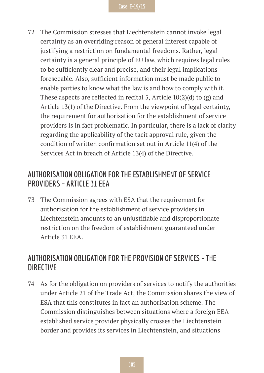72 The Commission stresses that Liechtenstein cannot invoke legal certainty as an overriding reason of general interest capable of justifying a restriction on fundamental freedoms. Rather, legal certainty is a general principle of EU law, which requires legal rules to be sufficiently clear and precise, and their legal implications foreseeable. Also, sufficient information must be made public to enable parties to know what the law is and how to comply with it. These aspects are reflected in recital 5, Article  $10(2)(d)$  to  $(g)$  and Article 13(1) of the Directive. From the viewpoint of legal certainty, the requirement for authorisation for the establishment of service providers is in fact problematic. In particular, there is a lack of clarity regarding the applicability of the tacit approval rule, given the condition of written confirmation set out in Article 11(4) of the Services Act in breach of Article 13(4) of the Directive.

#### **AUTHORISATION OBLIGATION FOR THE ESTABLISHMENT OF SERVICE PROVIDERS – ARTICLE 31 FFA**

73 The Commission agrees with ESA that the requirement for authorisation for the establishment of service providers in Liechtenstein amounts to an unjustifiable and disproportionate restriction on the freedom of establishment guaranteed under Article 31 EEA.

### **AUTHORISATION OBLIGATION FOR THE PROVISION OF SERVICES – THE DIRECTIVE**

74 As for the obligation on providers of services to notify the authorities under Article 21 of the Trade Act, the Commission shares the view of ESA that this constitutes in fact an authorisation scheme. The Commission distinguishes between situations where a foreign EEAestablished service provider physically crosses the Liechtenstein border and provides its services in Liechtenstein, and situations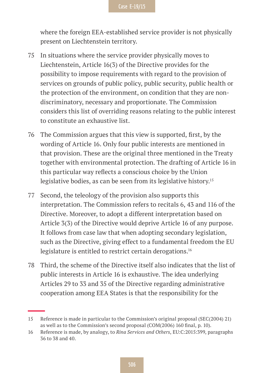where the foreign EEA-established service provider is not physically present on Liechtenstein territory.

- 75 In situations where the service provider physically moves to Liechtenstein, Article 16(3) of the Directive provides for the possibility to impose requirements with regard to the provision of services on grounds of public policy, public security, public health or the protection of the environment, on condition that they are nondiscriminatory, necessary and proportionate. The Commission considers this list of overriding reasons relating to the public interest to constitute an exhaustive list.
- 76 The Commission argues that this view is supported, first, by the wording of Article 16. Only four public interests are mentioned in that provision. These are the original three mentioned in the Treaty together with environmental protection. The drafting of Article 16 in this particular way reflects a conscious choice by the Union legislative bodies, as can be seen from its legislative history.<sup>15</sup>
- 77 Second, the teleology of the provision also supports this interpretation. The Commission refers to recitals 6, 43 and 116 of the Directive. Moreover, to adopt a different interpretation based on Article 3(3) of the Directive would deprive Article 16 of any purpose. It follows from case law that when adopting secondary legislation, such as the Directive, giving effect to a fundamental freedom the EU legislature is entitled to restrict certain derogations.<sup>16</sup>
- 78 Third, the scheme of the Directive itself also indicates that the list of public interests in Article 16 is exhaustive. The idea underlying Articles 29 to 33 and 35 of the Directive regarding administrative cooperation among EEA States is that the responsibility for the

<sup>15</sup> Reference is made in particular to the Commission's original proposal (SEC(2004) 21) as well as to the Commission's second proposal (COM(2006) 160 final, p. 10).

<sup>16</sup> Reference is made, by analogy, to *Rina Services and Others*, EU:C:2015:399, paragraphs 36 to 38 and 40.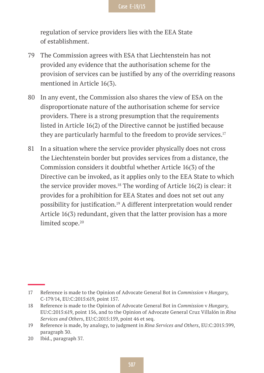regulation of service providers lies with the EEA State of establishment.

- 79 The Commission agrees with ESA that Liechtenstein has not provided any evidence that the authorisation scheme for the provision of services can be justified by any of the overriding reasons mentioned in Article 16(3).
- 80 In any event, the Commission also shares the view of ESA on the disproportionate nature of the authorisation scheme for service providers. There is a strong presumption that the requirements listed in Article 16(2) of the Directive cannot be justified because they are particularly harmful to the freedom to provide services.<sup>17</sup>
- 81 In a situation where the service provider physically does not cross the Liechtenstein border but provides services from a distance, the Commission considers it doubtful whether Article 16(3) of the Directive can be invoked, as it applies only to the EEA State to which the service provider moves.<sup>18</sup> The wording of Article  $16(2)$  is clear: it provides for a prohibition for EEA States and does not set out any possibility for justification.19 A different interpretation would render Article 16(3) redundant, given that the latter provision has a more limited scope.<sup>20</sup>

<sup>17</sup> Reference is made to the Opinion of Advocate General Bot in *Commission* v *Hungary*, C-179/14, EU:C:2015:619, point 157.

<sup>18</sup> Reference is made to the Opinion of Advocate General Bot in *Commission* v *Hungary*, EU:C:2015:619, point 156, and to the Opinion of Advocate General Cruz Villalón in *Rina Services and Others*, EU:C:2015:159, point 46 et seq.

<sup>19</sup> Reference is made, by analogy, to judgment in *Rina Services and Others*, EU:C:2015:399, paragraph 30.

<sup>20</sup> Ibid., paragraph 37.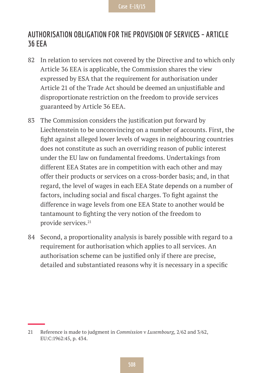## **AUTHORISATION OBLIGATION FOR THE PROVISION OF SERVICES – ARTICLE 36 EEA**

- 82 In relation to services not covered by the Directive and to which only Article 36 EEA is applicable, the Commission shares the view expressed by ESA that the requirement for authorisation under Article 21 of the Trade Act should be deemed an unjustifiable and disproportionate restriction on the freedom to provide services guaranteed by Article 36 EEA.
- 83 The Commission considers the justification put forward by Liechtenstein to be unconvincing on a number of accounts. First, the fight against alleged lower levels of wages in neighbouring countries does not constitute as such an overriding reason of public interest under the EU law on fundamental freedoms. Undertakings from different EEA States are in competition with each other and may offer their products or services on a cross-border basis; and, in that regard, the level of wages in each EEA State depends on a number of factors, including social and fiscal charges. To fight against the difference in wage levels from one EEA State to another would be tantamount to fighting the very notion of the freedom to provide services.<sup>21</sup>
- 84 Second, a proportionality analysis is barely possible with regard to a requirement for authorisation which applies to all services. An authorisation scheme can be justified only if there are precise, detailed and substantiated reasons why it is necessary in a specific

<sup>21</sup> Reference is made to judgment in *Commission* v *Luxembourg*, 2/62 and 3/62, EU:C:1962:45, p. 434.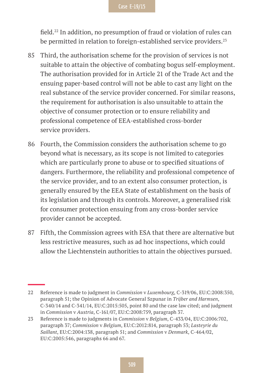field.<sup>22</sup> In addition, no presumption of fraud or violation of rules can be permitted in relation to foreign-established service providers.<sup>23</sup>

- 85 Third, the authorisation scheme for the provision of services is not suitable to attain the objective of combating bogus self-employment. The authorisation provided for in Article 21 of the Trade Act and the ensuing paper-based control will not be able to cast any light on the real substance of the service provider concerned. For similar reasons, the requirement for authorisation is also unsuitable to attain the objective of consumer protection or to ensure reliability and professional competence of EEA-established cross-border service providers.
- 86 Fourth, the Commission considers the authorisation scheme to go beyond what is necessary, as its scope is not limited to categories which are particularly prone to abuse or to specified situations of dangers. Furthermore, the reliability and professional competence of the service provider, and to an extent also consumer protection, is generally ensured by the EEA State of establishment on the basis of its legislation and through its controls. Moreover, a generalised risk for consumer protection ensuing from any cross-border service provider cannot be accepted.
- 87 Fifth, the Commission agrees with ESA that there are alternative but less restrictive measures, such as ad hoc inspections, which could allow the Liechtenstein authorities to attain the objectives pursued.

<sup>22</sup> Reference is made to judgment in *Commission* v *Luxembourg*, C-319/06, EU:C:2008:350, paragraph 51; the Opinion of Advocate General Szpunar in *Trijber and Harmsen*, C-340/14 and C-341/14, EU:C:2015:505, point 80 and the case law cited; and judgment in *Commission* v *Austria*, C-161/07, EU:C:2008:759, paragraph 37.

<sup>23</sup> Reference is made to judgments in *Commission* v *Belgium*, C-433/04, EU:C:2006:702, paragraph 37; *Commission* v *Belgium*, EU:C:2012:814, paragraph 53; *Lasteyrie du Saillant*, EU:C:2004:138, paragraph 51; and *Commission* v *Denmark*, C-464/02, EU:C:2005:546, paragraphs 66 and 67.